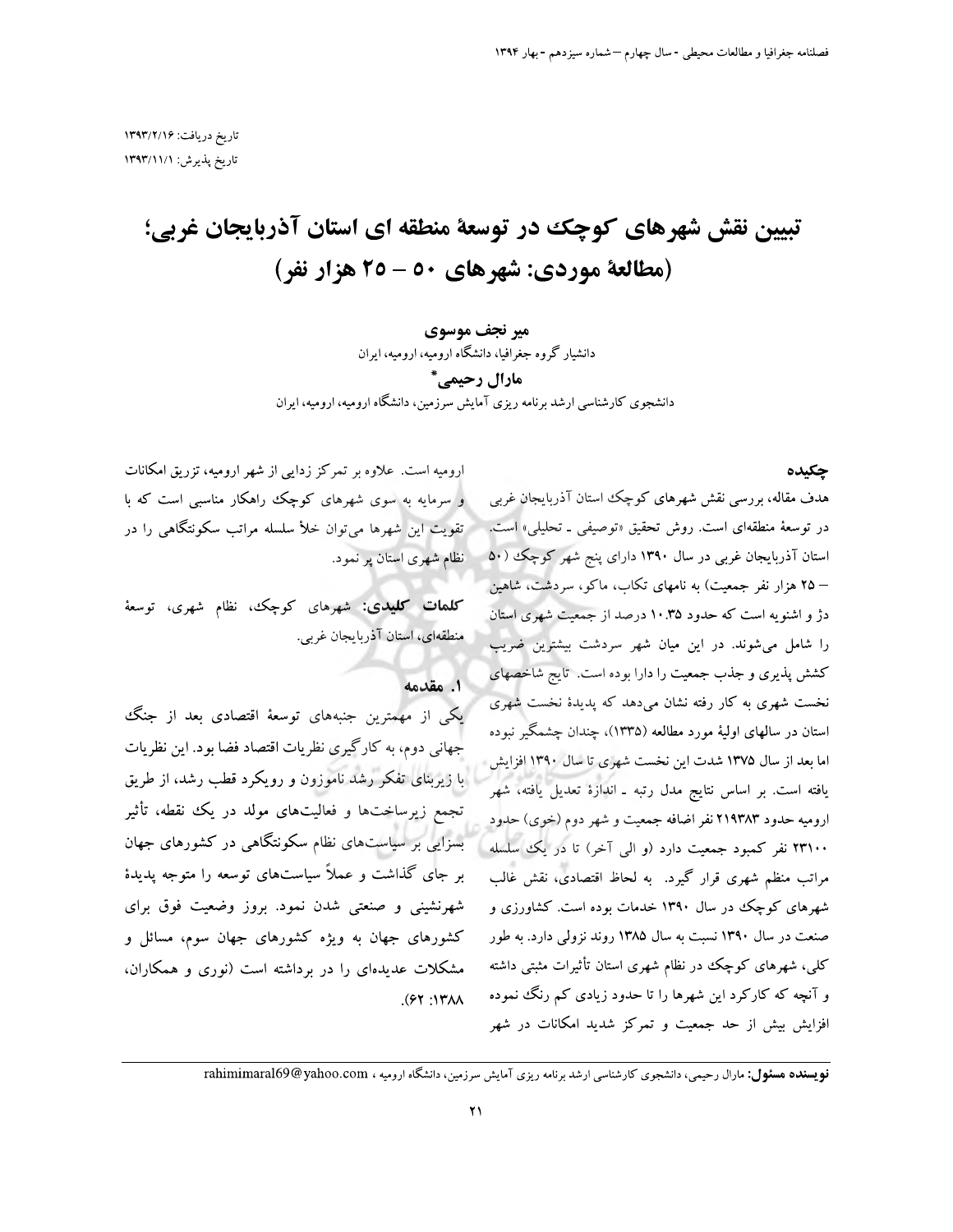# تبیین نقش شهرهای کوچک در توسعهٔ منطقه ای استان آذربایجان غربی؛ (مطالعة موردي: شهرهاي ٥٠ - ٢٥ هزار نفر)

#### میر نجف موسوی

دانشیار گروه جغرافیا، دانشگاه ارومیه، ارومیه، ایران

مارال رحيمي. ٌ دانشجوی کارشناسی ارشد برنامه ریزی آمایش سرزمین، دانشگاه ارومیه، ارومیه، ایران

چکیده

ارومیه است. علاوه بر تمرکز زدایی از شهر ارومیه، تزریق امکانات و سرمایه به سوی شهرهای کوچک راهکار مناسبی است که با تقویت این شهرها می توان خلأ سلسله مراتب سکونتگاهی را در نظام شهری استان پر نمود.

**کلمات کلیدی:** شهرهای کوچک، نظام شهری، توسعهٔ منطقهای، استان آذربایجان غربی.

1. مقدمه

یکی از مهمترین جنبههای توسعهٔ اقتصادی بعد از جنگ جهانی دوم، به کارگیری نظریات اقتصاد فضا بود. این نظریات با زیربنای تفکر رشد ناموزون و رویکرد قطب رشد، از طریق تجمع زیرساختها و فعالیتهای مولد در یک نقطه، تأثیر بسزایی بر سیاستهای نظام سکونتگاهی در کشورهای جهان بر جای گذاشت و عملاً سیاستهای توسعه را متوجه پدیدهٔ شهرنشینی و صنعتی شدن نمود. بروز وضعیت فوق برای کشورهای جهان به ویژه کشورهای جهان سوم، مسائل و مشکلات عدیدهای را در برداشته است (نوری و همکاران،  $(91.17)$ 

هدف مقاله، بررسی نقش شهرهای کوچک استان آذربایجان غربی در توسعهٔ منطقهای است. روش تحقیق «توصیفی ـ تحلیلی» است. استان آذربایجان غربی در سال ۱۳۹۰ دارای پنج شهر کوچک (۵۰ – ۲۵ هزار نفر جمعیت) به نامهای تکاب، ماکو، سردشت، شاهین دژ و اشنویه است که حدود ۱۰.۳۵ درصد از جمعیت شهری استان را شامل میشوند. در این میان شهر سردشت بیشترین ضریب کشش پذیری و جذب جمعیت را دارا بوده است. تایج شاخصهای نخست شهری به کار رفته نشان میدهد که پدیدهٔ نخست شهری استان در سالهای اولیهٔ مورد مطالعه (۱۳۳۵)، چندان چشمگیر نبوده اما بعد از سال ۱۳۷۵ شدت این نخست شهری تا سال ۱۳۹۰ افزایش یافته است. بر اساس نتایج مدل رتبه ـ اندازهٔ تعدیل یافته، شهر اروميه حدود ٢١٩٣٨٣ نفر اضافه جمعيت و شهر دوم (خوى) حدود ۲۳۱۰۰ نفر کمبود جمعیت دارد (و الی آخر) تا در یک اسلسله مراتب منظم شهری قرار گیرد. به لحاظ اقتصادی، نقش غالب شهرهای کوچک در سال ۱۳۹۰ خدمات بوده است. کشاورزی و صنعت در سال ۱۳۹۰ نسبت به سال ۱۳۸۵ روند نزولی دارد. به طور کلی، شهرهای کوچک در نظام شهری استان تأثیرات مثبتی داشته و آنچه که کارکرد این شهرها را تا حدود زیادی کم رنگ نموده افزایش بیش از حد جمعیت و تمرکز شدید امکانات در شهر

**نویسنده هسئول:** مارال رحیمی، دانشجوی کارشناسی ارشد برنامه ریزی آمایش سرزمین، دانشگاه ارومیه ، rahimimaral69@yahoo.com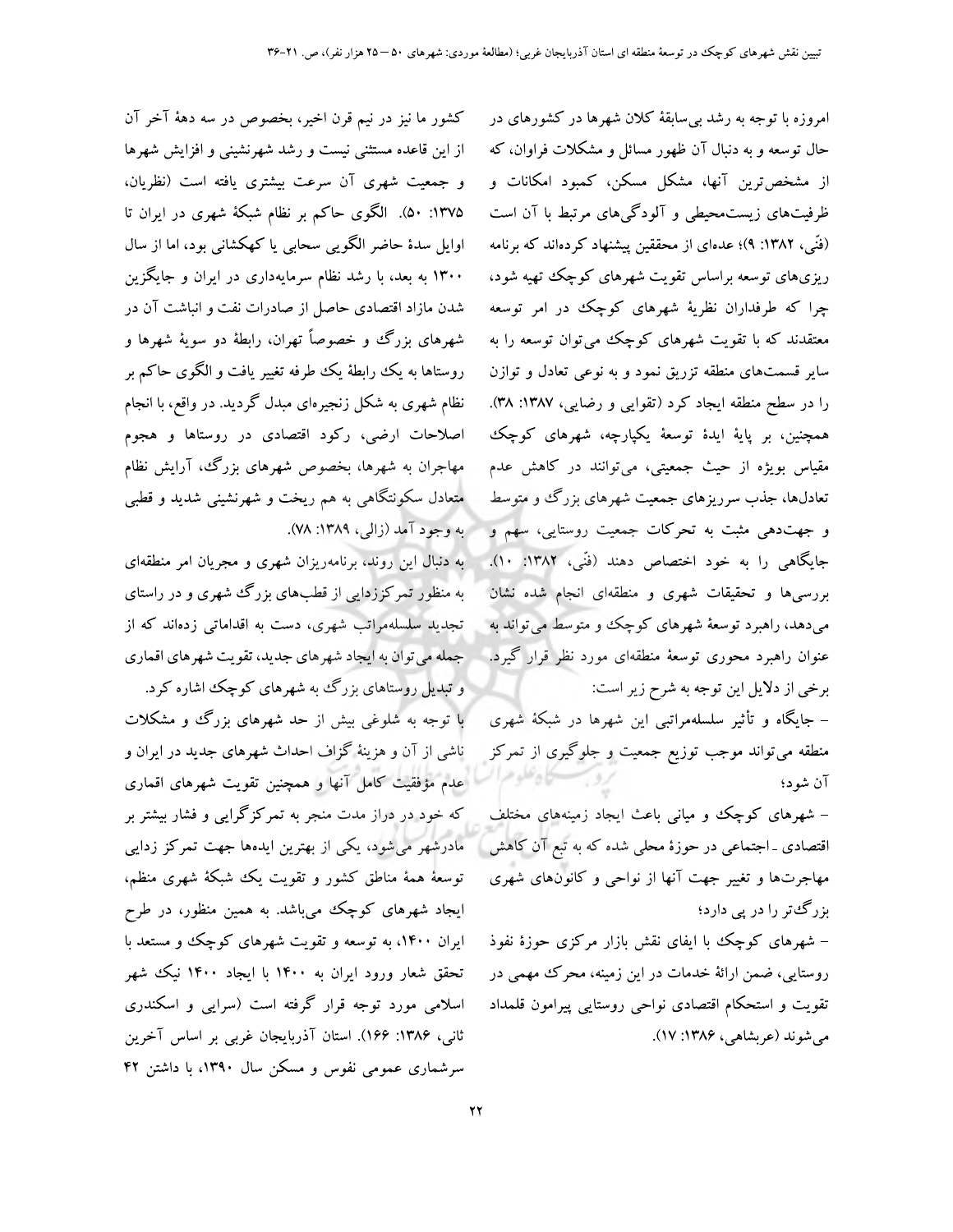امروزه با توجه به رشد بی سابقهٔ کلان شهرها در کشورهای در حال توسعه و به دنبال آن ظهور مسائل و مشکلات فراوان، که از مشخص ترین آنها، مشکل مسکن، کمبود امکانات و ظرفیتهای زیستمحیطی و آلودگیهای مرتبط با آن است (فَنِّي، ١٣٨٢: ٩)؛ عدهاي از محققين پيشنهاد كردهاند كه برنامه ریزیهای توسعه براساس تقویت شهرهای کوچک تهیه شود، چرا که طرفداران نظریهٔ شهرهای کوچک در امر توسعه معتقدند که با تقویت شهرهای کوچک میتوان توسعه را به سایر قسمتهای منطقه تزریق نمود و به نوعی تعادل و توازن را در سطح منطقه ایجاد کرد (تقوایی و رضایی، ۱۳۸۷: ۳۸). همچنین، بر پایهٔ ایدهٔ توسعهٔ یکپارچه، شهرهای کوچک مقیاس بویژه از حیث جمعیتی، میتوانند در کاهش عدم تعادلها، جذب سرریزهای جمعیت شهرهای بزرگ و متوسط و جهتدهی مثبت به تحرکات جمعیت روستایی، سهم و جایگاهی را به خود اختصاص دهند (فَنّی، ۱۳۸۲: ۱۰). بررسیها و تحقیقات شهری و منطقهای انجام شده نشان می دهد، راهبرد توسعهٔ شهرهای کوچک و متوسط می تواند به عنوان راهبرد محوری توسعهٔ منطقهای مورد نظر قرار گیرد. برخی از دلایل این توجه به شرح زیر است:

– جایگاه و تأثیر سلسلهمراتبی این شهرها در شبکهٔ شهری منطقه می تواند موجب توزیع جمعیت و جلوگیری از تمرکز آن شود؛

– شهرهای کوچک و میانی باعث ایجاد زمینههای مختلف اقتصادی ـ اجتماعی در حوزهٔ محلی شده که به تبع آن کاهش مهاجرتها و تغییر جهت آنها از نواحی و کانونهای شهری بزرگٹتر را در پی دارد؛

– شهرهای کوچک با ایفای نقش بازار مرکزی حوزهٔ نفوذ روستایی، ضمن ارائهٔ خدمات در این زمینه، محرک مهمی در تقويت و استحكام اقتصادى نواحى روستايي پيرامون قلمداد مې شوند (عربشاهۍ، ۱۳۸۶: ۱۷).

كشور ما نيز در نيم قرن اخير، بخصوص در سه دههٔ آخر آن از این قاعده مستثنی نیست و رشد شهرنشینی و افزایش شهرها و جمعیت شهری آن سرعت بیشتری یافته است (نظریان، ۱۳۷۵: ۵۰). الگوی حاکم بر نظام شبکهٔ شهری در ایران تا اوایل سدهٔ حاضر الگویی سحابی یا کهکشانی بود، اما از سال ۱۳۰۰ به بعد، با رشد نظام سرمایهداری در ایران و جایگزین شدن مازاد اقتصادی حاصل از صادرات نفت و انباشت آن در شهرهای بزرگ و خصوصاً تهران، رابطهٔ دو سویهٔ شهرها و روستاها به يک رابطهٔ يک طرفه تغيير يافت و الگوى حاکم بر نظام شهری به شکل زنجیرهای مبدل گردید. در واقع، با انجام اصلاحات ارضی، رکود اقتصادی در روستاها و هجوم مهاجران به شهرها، بخصوص شهرهای بزرگ، آرایش نظام متعادل سکونتگاهی به هم ریخت و شهرنشینی شدید و قطبی . به وجود آمد (زالبي، ۱۳۸۹: ۷۸).

به دنبال این روند، برنامهریزان شهری و مجریان امر منطقهای به منظور تمرکززدایی از قطبهای بزرگ شهری و در راستای تجدید سلسلهمراتب شهری، دست به اقداماتی زدهاند که از جمله می توان به ایجاد شهرهای جدید، تقویت شهرهای اقماری و تبدیل روستاهای بزرگ به شهرهای کوچک اشاره کرد.

با توجه به شلوغی بیش از حد شهرهای بزرگ و مشکلات ناشی از آن و هزینهٔ گزاف احداث شهرهای جدید در ایران و عدم مؤفقیت کامل آنها و همچنین تقویت شهرهای اقماری که خود در دراز مدت منجر به تمرکزگرایی و فشار بیشتر بر مادرشهر می شود، یکی از بهترین ایدهها جهت تمرکز زدایی توسعهٔ همهٔ مناطق کشور و تقویت یک شبکهٔ شهری منظم، ایجاد شهرهای کوچک میباشد. به همین منظور، در طرح ایران ۱۴۰۰، به توسعه و تقویت شهرهای کوچک و مستعد با تحقق شعار ورود ایران به ۱۴۰۰ با ایجاد ۱۴۰۰ نیک شهر اسلامی مورد توجه قرار گرفته است (سرایی و اسکندری ثانی، ۱۳۸۶: ۱۶۶). استان آذربایجان غربی بر اساس آخرین سرشماری عمومی نفوس و مسکن سال ۱۳۹۰، با داشتن ۴۲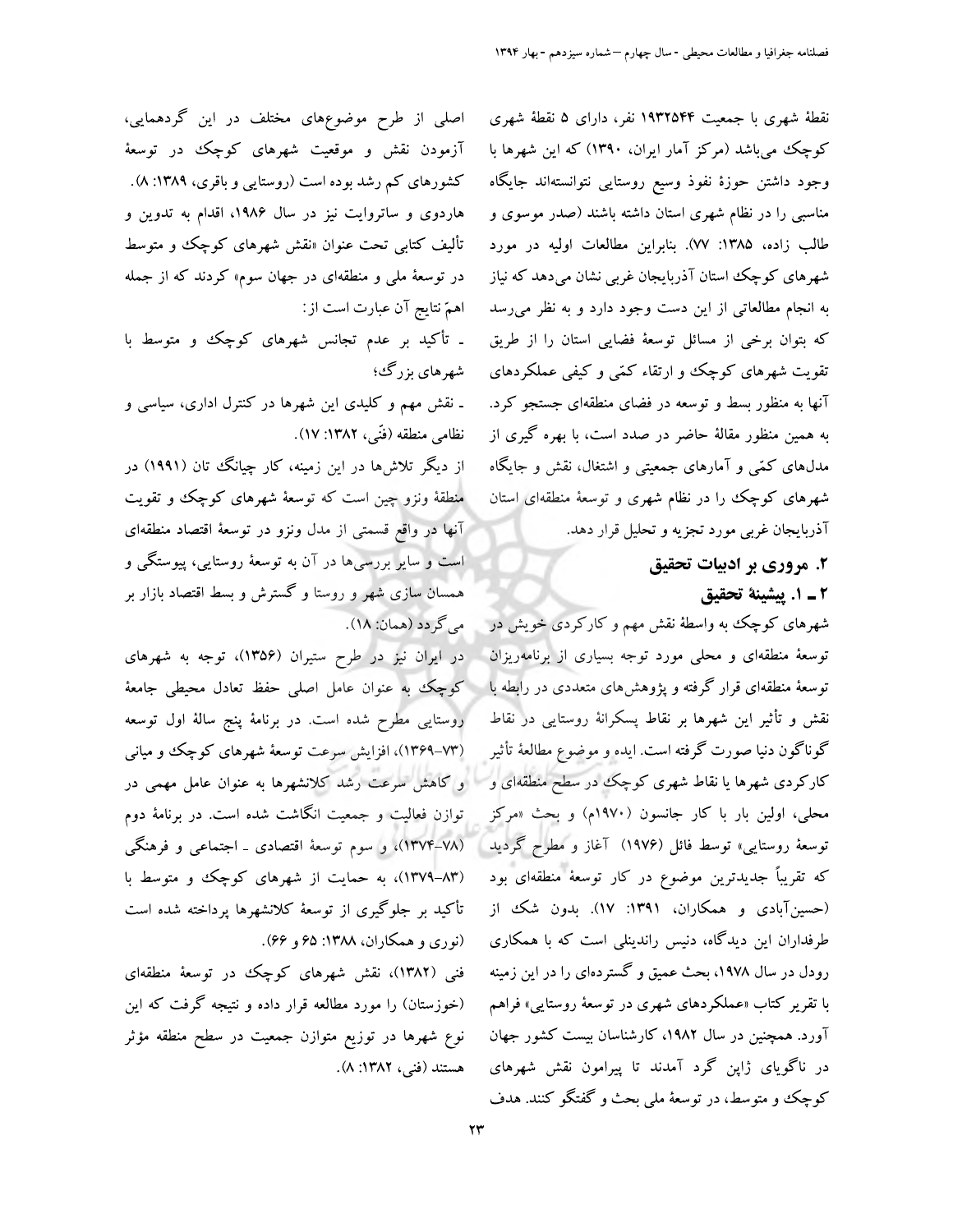اصلی از طرح موضوعهای مختلف در این گردهمایی، آزمودن نقش و موقعیت شهرهای کوچک در توسعهٔ کشورهای کم رشد بوده است (روستایی و باقری، ۱۳۸۹: ۸). هاردوی و ساتروایت نیز در سال ۱۹۸۶، اقدام به تدوین و تألیف کتاب<sub>ی</sub> تحت عنوان «نقش شهرهای کوچک<sup>ی</sup> و متوسط در توسعهٔ مل<sub>ی</sub> و منطقهای در جهان سوم» کردند که از جمله اهمٌ نتايج آن عبارت است از:

۔ تأکید بر عدم تجانس شهرهای کوچک و متوسط با شهرهای بزرگئ؛

ـ نقش مهم و کلیدی این شهرها در کنترل اداری، سیاسی و نظامي منطقه (فَنِّي، ١٣٨٢: ١٧).

از دیگر تلاشها در این زمینه، کار چیانگ تان (۱۹۹۱) در منطقهٔ ونزو چین است که توسعهٔ شهرهای کوچک و تقویت آنها در واقع قسمتی از مدل ونزو در توسعهٔ اقتصاد منطقهای است و سایر بررسیها در آن به توسعهٔ روستایی، پیوستگی و همسان سازی شهر و روستا و گسترش و بسط اقتصاد بازار بر مي گر دد (همان: ۱۸).

در ایران نیز در طرح ستیران (۱۳۵۶)، توجه به شهرهای کوچک به عنوان عامل اصلی حفظ تعادل محیطی جامعهٔ روستایی مطرح شده است. در برنامهٔ پنج سالهٔ اول توسعه (۷۳-۱۳۶۹)، افزایش سرعت توسعهٔ شهرهای کوچک و میانی و کاهش سرعت رشد کلانشهرها به عنوان عامل مهمی در توازن فعالیت و جمعیت انگاشت شده است. در برنامهٔ دوم (١٣٧٤-١٣٧٣)، و سوم توسعهٔ اقتصادی ـ اجتماعی و فرهنگی (۸۳–۱۳۷۹)، به حمایت از شهرهای کوچک و متوسط با تأکید بر جلوگیری از توسعهٔ کلانشهرها پرداخته شده است (نوري و همكاران، ١٣٨٨: ۶۵ و ۶۶).

فنی (۱۳۸۲)، نقش شهرهای کوچک در توسعهٔ منطقهای (خوزستان) را مورد مطالعه قرار داده و نتیجه گرفت که این نوع شهرها در توزیع متوازن جمعیت در سطح منطقه مؤثر هستند (فني، ١٣٨٢: ٨). نقطهٔ شهری با جمعیت ۱۹۳۲۵۴۴ نفر، دارای ۵ نقطهٔ شهری کوچک میباشد (مرکز آمار ایران، ۱۳۹۰) که این شهرها با وجود داشتن حوزهٔ نفوذ وسیع روستایی نتوانستهاند جایگاه مناسبی را در نظام شهری استان داشته باشند (صدر موسوی و طالب زاده، ۱۳۸۵: ۷۷). بنابراین مطالعات اولیه در مورد شهرهای کوچک استان آذربایجان غربی نشان میدهد که نیاز به انجام مطالعاتی از این دست وجود دارد و به نظر می رسد که بتوان برخی از مسائل توسعهٔ فضایی استان را از طریق تقویت شهرهای کوچک وو ارتقاء کمّی و کیفی عملکردهای آنها به منظور بسط و توسعه در فضای منطقهای جستجو کرد. به همین منظور مقالهٔ حاضر در صدد است، با بهره گیری از مدلهای کمّی و آمارهای جمعیتی و اشتغال، نقش و جایگاه شهرهای کوچک را در نظام شهری و توسعهٔ منطقهای استان آذربایجان غربی مورد تجزیه و تحلیل قرار دهد.

۲. مروري بر ادبيات تحقيق

٢ ـ ١. پيشينة تحقيق

شهرهای کوچک به واسطهٔ نقش مهم و کارکردی خویش در توسعهٔ منطقهای و محلی مورد توجه بسیاری از برنامهریزان توسعهٔ منطقهای قرار گرفته و پژوهش های متعددی در رابطه با نقش و تأثیر این شهرها بر نقاط پسکرانهٔ روستایی در نقاط گوناگون دنیا صورت گرفته است. ایده و موضوع مطالعهٔ تأثیر کارکردی شهرها یا نقاط شهری کوچک در سطح منطقهای و محلي، اولين بار با كار جانسون (١٩٧٠م) و بحث «مركز توسعهٔ روستایی» توسط فائل (۱۹۷۶) آغاز و مطرح گردید ا که تقریباً جدیدترین موضوع در کار توسعهٔ منطقهای بود (حسینآبادی و همکاران، ۱۳۹۱: ۱۷). بدون شک از طرفداران این دیدگاه، دنیس راندینلی است که با همکاری رودل در سال ۱۹۷۸، بحث عمیق و گستردهای را در این زمینه با تقریر کتاب «عملکردهای شهری در توسعهٔ روستایی» فراهم آورد. همچنین در سال ۱۹۸۲، کارشناسان بیست کشور جهان در ناگویای ژاپن گرد آمدند تا پیرامون نقش شهرهای کوچک و متوسط، در توسعهٔ ملی بحث و گفتگو کنند. هدف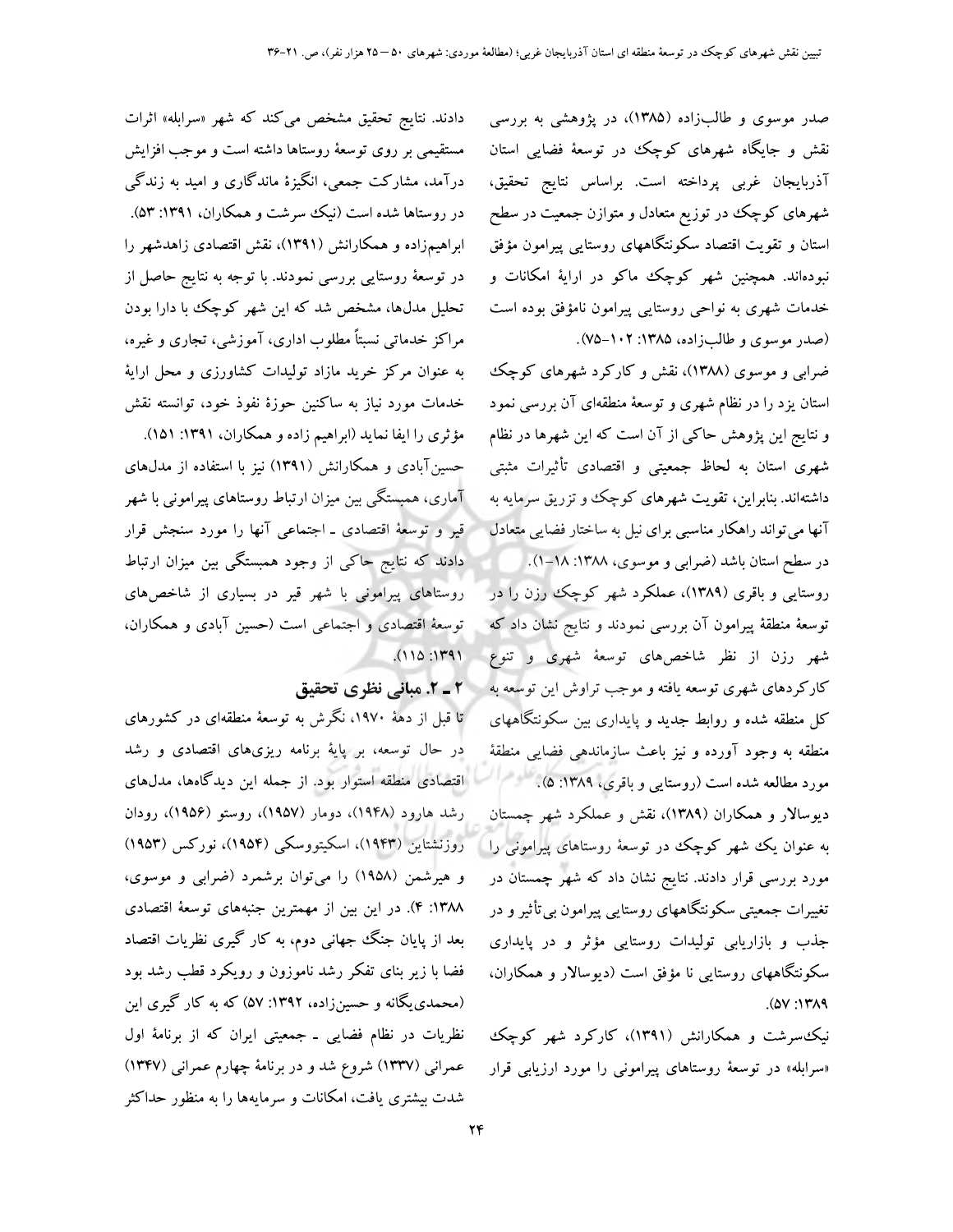صدر موسوی و طالبزاده (۱۳۸۵)، در پژوهشی به بررسی نقش و جایگاه شهرهای کوچک در توسعهٔ فضایی استان آذربايجان غربي پرداخته است. براساس نتايج تحقيق، شهرهای کوچک در توزیع متعادل و متوازن جمعیت در سطح استان و تقویت اقتصاد سکونتگاههای روستایی پیرامون مؤفق نبودهاند. همچنین شهر کوچک ماکو در ارایهٔ امکانات و خدمات شهری به نواحی روستایی پیرامون نامؤفق بوده است (صدر موسوى و طالبزاده، ۱۳۸۵: ۰۲-۷۵).

ضرابی و موسوی (۱۳۸۸)، نقش و کارکرد شهرهای کوچک استان یزد را در نظام شهری و توسعهٔ منطقهای آن بررسی نمود و نتایج این پژوهش حاکبی از آن است که این شهرها در نظام شهری استان به لحاظ جمعیتی و اقتصادی تأثیرات مثبتی داشتهاند. بنابراین، تقویت شهرهای کوچک و تزریق سرمایه به آنها می تواند راهکار مناسبی برای نیل به ساختار فضایی متعادل

در سطح استان باشد (ضرابی و موسوی، ۱۳۸۸: ۱۸-۱). روستایی و باقری (۱۳۸۹)، عملکرد شهر کوچک رزن را در توسعهٔ منطقهٔ پیرامون آن بررسی نمودند و نتایج نشان داد که شهر رزن از نظر شاخصهای توسعهٔ شهری و تنوع کارکردهای شهری توسعه یافته و موجب تراوش این توسعه به کل منطقه شده و روابط جدید و پایداری بین سکونتگاههای منطقه به وجود آورده و نيز باعث سازماندهي فضايي منطقهٔ مورد مطالعه شده است (روستایی و باقری، ۱۳۸۹: ۵). دیوسالار و همکاران (۱۳۸۹)، نقش و عملکرد شهر چمستان به عنوان یک شهر کوچک در توسعهٔ روستاهای پیرامونی را ا مورد بررسی قرار دادند. نتایج نشان داد که شهر چمستان در تغییرات جمعیتی سکونتگاههای روستایی پیرامون بی تأثیر و در جذب و بازاریابی تولیدات روستایی مؤثر و در پایداری سکونتگاههای روستایی نا مؤفق است (دیوسالار و همکاران،  $A(Y:Y)$ 

نیک سرشت و همکارانش (۱۳۹۱)، کارکرد شهر کوچک «سرابله» در توسعهٔ روستاهای پیرامونی را مورد ارزیابی قرار

دادند. نتایج تحقیق مشخص میکند که شهر «سرابله» اثرات مستقیمی بر روی توسعهٔ روستاها داشته است و موجب افزایش درآمد، مشارکت جمعی، انگیزهٔ ماندگاری و امید به زندگی در روستاها شده است (نیک سرشت و همکاران، ۱۳۹۱: ۵۳). ابراهیمزاده و همکارانش (۱۳۹۱)، نقش اقتصادی زاهدشهر را در توسعهٔ روستایی بررسی نمودند. با توجه به نتایج حاصل از تحلیل مدلها، مشخص شد که این شهر کوچک با دارا بودن مراکز خدماتی نسبتاً مطلوب اداری، آموزشی، تجاری و غیره، به عنوان مرکز خرید مازاد تولیدات کشاورزی و محل ارایهٔ خدمات مورد نیاز به ساکنین حوزهٔ نفوذ خود، توانسته نقش

مؤثري را ايفا نمايد (ابراهيم زاده و همكاران، ١٣٩١: ١٥١). حسینآبادی و همکارانش (۱۳۹۱) نیز با استفاده از مدلهای آماری، همبستگی بین میزان ارتباط روستاهای پیرامونی با شهر قیر و توسعهٔ اقتصادی ـ اجتماعی آنها را مورد سنجش قرار دادند که نتایج حاکی از وجود همبستگی بین میزان ارتباط روستاهای پیرامونی با شهر قیر در بسیاری از شاخصهای توسعهٔ اقتصادی و اجتماعی است (حسین آبادی و همکاران،  $(110:1191)$ 

# 2- 2. مبانی نظری تحقیق

تا قبل از دههٔ ۱۹۷۰، نگرش به توسعهٔ منطقهای در کشورهای در حال توسعه، بر پایهٔ برنامه ریزیهای اقتصادی و رشد اقتصادی منطقه استوار بود. از جمله این دیدگاهها، مدلهای رشد هارود (۱۹۴۸)، دومار (۱۹۵۷)، روستو (۱۹۵۶)، رودان روزنشتاین (۱۹۴۳)، اسکیتووسکی (۱۹۵۴)، نورکس (۱۹۵۳) و هیرشمن (۱۹۵۸) را میتوان برشمرد (ضرابی و موسوی، ۱۳۸۸: ۴). در این بین از مهمترین جنبههای توسعهٔ اقتصادی بعد از پایان جنگ جهانی دوم، به کار گیری نظریات اقتصاد فضا با زیر بنای تفکر رشد ناموزون و رویکرد قطب رشد بود (محمدی یگانه و حسینزاده، ۱۳۹۲: ۵۷) که به کار گیری این نظریات در نظام فضایی ـ جمعیتی ایران که از برنامهٔ اول عمرانی (۱۳۳۷) شروع شد و در برنامهٔ چهارم عمرانی (۱۳۴۷) شدت بیشتری یافت، امکانات و سرمایهها را به منظور حداکثر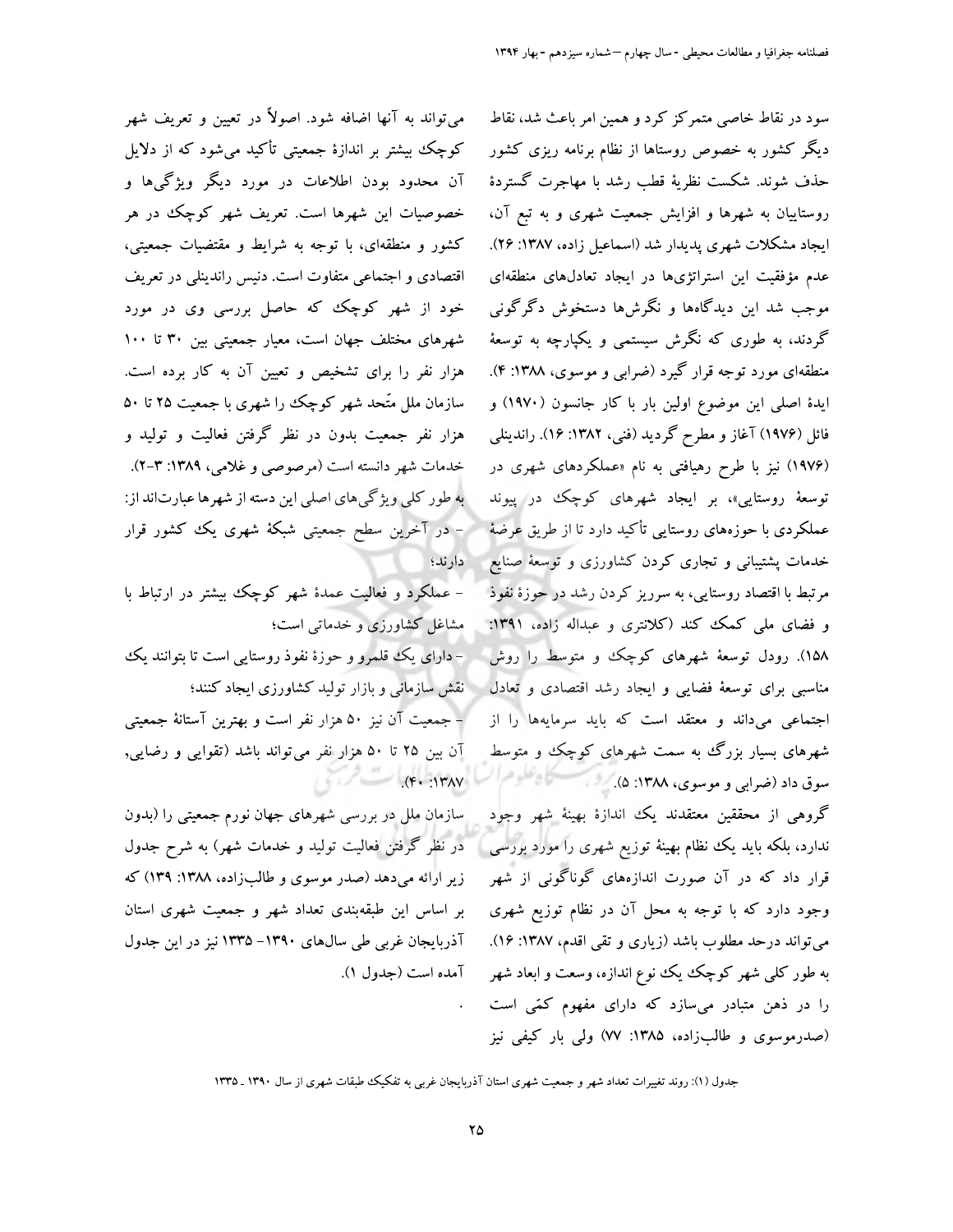سود در نقاط خاصی متمرکز کرد و همین امر باعث شد، نقاط دیگر کشور به خصوص روستاها از نظام برنامه ریزی کشور حذف شوند. شکست نظریهٔ قطب رشد با مهاجرت گستردهٔ روستاییان به شهرها و افزایش جمعیت شهری و به تبع آن، ایجاد مشکلات شهری پدیدار شد (اسماعیل زاده، ۱۳۸۷: ۲۶). عدم مؤفقیت این استراتژیها در ایجاد تعادلهای منطقهای موجب شد این دیدگاهها و نگرشها دستخوش دگرگونی گردند، به طوری که نگرش سیستمی و یکپارچه به توسعهٔ منطقهای مورد توجه قرار گیرد (ضرابی و موسوی، ۱۳۸۸: ۴). ایدهٔ اصلی این موضوع اولین بار با کار جانسون (۱۹۷۰) و فائل (۱۹۷۶) آغاز و مطرح گردید (فنی، ۱۳۸۲: ۱۶). راندینلی (۱۹۷۶) نیز با طرح رهیافتی به نام «عملکردهای شهری در توسعهٔ روستایی»، بر ایجاد شهرهای کوچک در پیوند عملکردی با حوزههای روستایی تأکید دارد تا از طریق عرضهٔ خدمات پشتیبانی و تجاری کردن کشاورزی و توسعهٔ صنایع مرتبط با اقتصاد روستایی، به سرریز کردن رشد در حوزهٔ نفوذ و فضای ملی کمک کند (کلانتری و عبداله زاده، ۱۳۹۱: ۱۵۸). رودل توسعهٔ شهرهای کوچک و متوسط را روش مناسبی برای توسعهٔ فضایی و ایجاد رشد اقتصادی و تعادل اجتماعی میداند و معتقد است که باید سرمایهها را از شهرهای بسیار بزرگ به سمت شهرهای کوچک و متوسط سوق داد (ضرابي و موسوى، ١٣٨٨: ۵).

گروهی از محققین معتقدند یک اندازهٔ بهینهٔ شهر وجود ندارد، بلکه باید یک نظام بهینهٔ توزیع شهری را مورد بررسی ا قرار داد که در آن صورت اندازههای گوناگونی از شهر وجود دارد که با توجه به محل آن در نظام توزیع شهری می تواند درحد مطلوب باشد (زیاری و تقی اقدم، ۱۳۸۷: ۱۶). به طور کلی شهر کوچک یک نوع اندازه، وسعت و ابعاد شهر را در ذهن متبادر میسازد که دارای مفهوم کمّی است (صدرموسوی و طالبزاده، ۱۳۸۵: ۷۷) ولمی بار کیفی نیز

می تواند به آنها اضافه شود. اصولاً در تعیین و تعریف شهر کوچک بیشتر بر اندازهٔ جمعیتی تأکید میشود که از دلایل آن محدود بودن اطلاعات در مورد دیگر ویژگیها و خصوصیات این شهرها است. تعریف شهر کوچک در هر کشور و منطقهای، با توجه به شرایط و مقتضیات جمعیتی، اقتصادی و اجتماعی متفاوت است. دنیس راندینلی در تعریف خود از شهر کوچک که حاصل بررسی وی در مورد شهرهای مختلف جهان است، معیار جمعیتی بین ۳۰ تا ۱۰۰ هزار نفر را برای تشخیص و تعیین آن به کار برده است. سازمان ملل متَّحد شهر كوچك را شهري با جمعيت ۲۵ تا ۵۰ هزار نفر جمعیت بدون در نظر گرفتن فعالیت و تولید و خدمات شهر دانسته است (مرصوصی و غلامی، ۱۳۸۹: ۳-۲). به طور کلی ویژگیهای اصلی این دسته از شهرها عبارتاند از: – در آخرین سطح جمعیتی شبکهٔ شهری یک کشور قرار دارند؛

– عملکرد و فعالیت عمدهٔ شهر کوچک بیشتر در ارتباط با مشاغل کشاورزی و خدماتی است؛ –دارای یک قلمرو و حوزهٔ نفوذ روستایی است تا بتوانند یک نقش سازمانی و بازار تولید کشاورزی ایجاد کنند؛ – جمعیت آن نیز ۵۰ هزار نفر است و بهترین آستانهٔ جمعیتی آن بین ۲۵ تا ۵۰ هزار نفر می تواند باشد (تقوایی و رضایی,  $\left\langle \left\langle \cdot \right\rangle \right\rangle = \left\langle \left\langle \cdot \right\rangle \left\langle \cdot \right\rangle \left\langle \cdot \right\rangle \right\rangle = \left\langle \cdot \right\rangle$ 

سازمان ملل در بررسی شهرهای جهان نورم جمعیتی را (بدون در نظر گرفتن فعالیت تولید و خدمات شهر) به شرح جدول زیر ارائه میدهد (صدر موسوی و طالبزاده، ۱۳۸۸: ۱۳۹) که بر اساس این طبقهبندی تعداد شهر و جمعیت شهری استان آذربایجان غربی طی سالهای ۱۳۹۰–۱۳۳۵ نیز در این جدول آمده است (جدول ۱).

جدول (۱): روند تغییرات تعداد شهر و جمعیت شهری استان آذربایجان غربی به تفکیک طبقات شهری از سال ۱۳۹۰ ـ ۱۳۳۵

 $\bullet$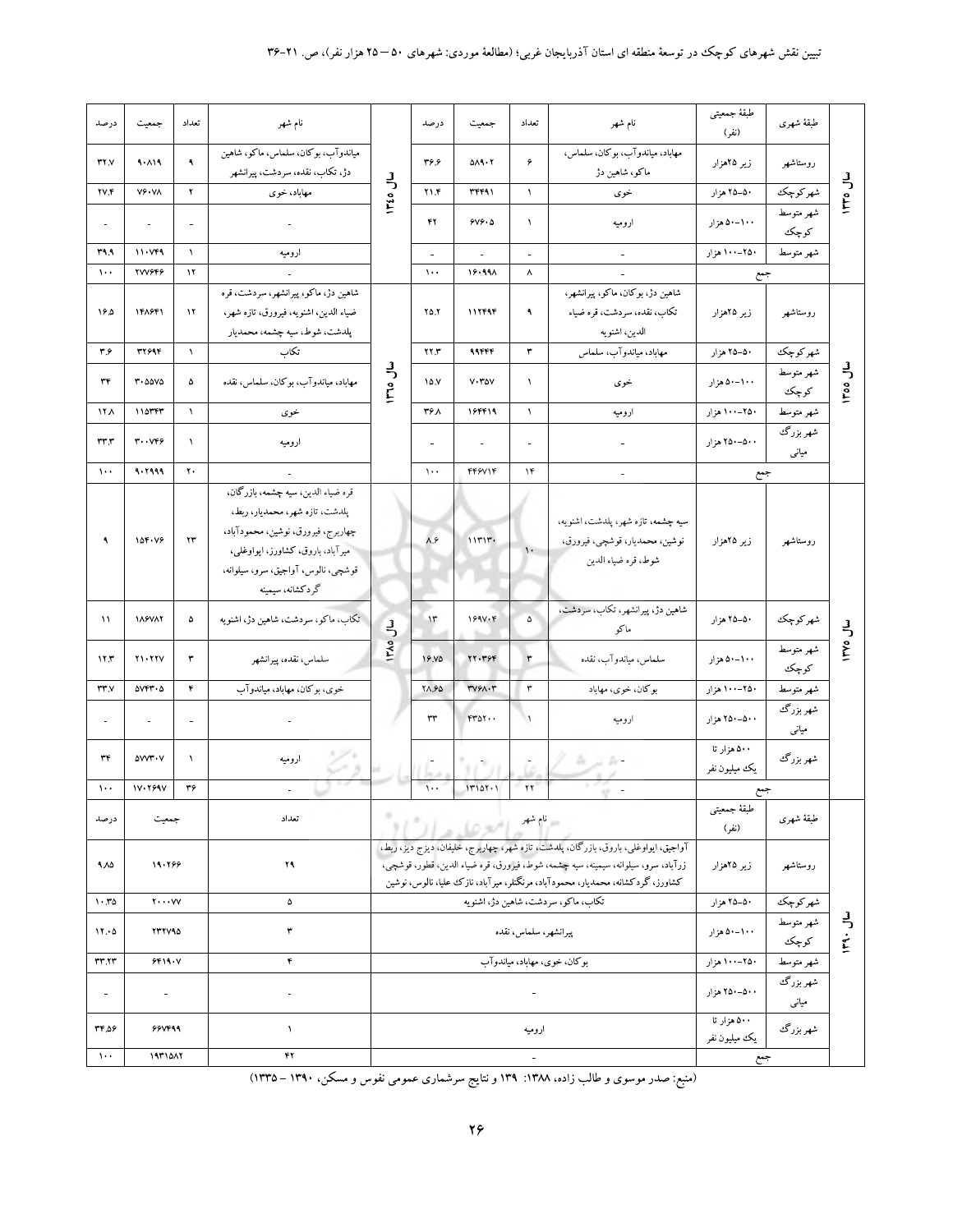| درصد                     | جمعيت                          | تعداد                    | نام شهر                                                                |               | درصد                     | جمعيت                       | تعداد                    | نام شهر                                                                            | طبقة جمعيتى<br>(نفر) | طبقة شهرى                      |                |
|--------------------------|--------------------------------|--------------------------|------------------------------------------------------------------------|---------------|--------------------------|-----------------------------|--------------------------|------------------------------------------------------------------------------------|----------------------|--------------------------------|----------------|
| rry                      | 9.119                          | ٩                        | مياندوآب، بوكان، سلماس، ماكو، شاهين<br>دژ، تکاب، نقده، سردشت، پیرانشهر |               | ۴۶.۶                     | 0A9.7                       | ۶                        | مهاباد، مياندوآب، بوكان، سلماس،<br>ماکو، شاهین دژ                                  | زیر ۲۵هزار           | روستاشهر                       |                |
| <b>TV.F</b>              | $V \hat{Y} \cdot V \Lambda$    | ۲                        | مهاباد، خوی                                                            | سال ۱۳۵۵      | $Y \setminus F$          | <b>٣۴۴٩١</b>                | $\Delta$                 | خوى                                                                                | ۵۰–۲۵ هزار           | شهر كوچك                       | سال ۱۳۳۵       |
| $\overline{\phantom{a}}$ | $\overline{\phantom{a}}$       | $\overline{\phantom{a}}$ |                                                                        |               | ۴۲                       | 9V9.0                       | $\lambda$                | اروميه                                                                             | ۰۰-۰-۵۰ هزار         | شهر متوسط<br>كوچك              |                |
| ۳۹.۹                     | 11.999                         | $\Lambda$                | اروميه                                                                 |               | $\overline{\phantom{a}}$ | $\blacksquare$              | $\overline{\phantom{a}}$ | $\overline{\phantom{a}}$                                                           | ۲۵۰–۱۰۰ هزار         | شهر متوسط                      |                |
| $\mathcal{N}$            | <b>TVV9F9</b>                  | $\mathcal{N}$            |                                                                        |               | $\lambda \cdot \cdot$    | 19.991                      | ۸                        |                                                                                    | جمع                  |                                |                |
|                          |                                |                          | شاهین دژ، ماکو، پیرانشهر، سردشت، قره                                   |               |                          |                             |                          | شاهين دژ، بوكان، ماكو، پيرانشهر،                                                   |                      |                                |                |
| ۱۶۵                      | 148441                         | $\mathcal{N}$            | ضياء الدين، اشنويه، فيرورق، تازه شهر،                                  |               | $Y\Delta Y$              | 117494                      | ٩                        | تكاب، نقده، سردشت، قره ضياء                                                        | زیر ۲۵هزار           | روستاشهر                       |                |
|                          |                                |                          | پلدشت، شوط، سيه چشمه، محمديار                                          |               |                          |                             |                          | الدين، اشنويه                                                                      |                      |                                |                |
| ۳۶                       | <b>٣٢۶٩۴</b>                   | $\lambda$                | تكاب                                                                   |               | XY. Y                    | 99444                       | $\tau$                   | مهاباد، مياندوآب، سلماس                                                            | ۵۰–۲۵ هزار           | شهر كوچك                       |                |
|                          |                                |                          |                                                                        |               |                          |                             |                          |                                                                                    |                      | شهر متوسط                      |                |
| ٣۴                       | $r \cdot \omega \omega \omega$ | ۵                        | مهاباد، مياندوآب، بوكان، سلماس، نقده                                   | سال ۱۳٦٥      | 10.1                     | $V \cdot V \circ V$         | $\lambda$                | خوى                                                                                | ۰۰-۰-۵ هزار          | كوچك                           | <b>Loo</b> Jw  |
| <b>17 A</b>              | $110$ rrr                      | $\mathcal{N}$            | خوى                                                                    |               | ۳۶۸                      | 188819                      | $\lambda$                | اروميه                                                                             | ۲۵۰–۱۰۰ هزار         | شهر متوسط                      |                |
| rrr                      | $r \cdot v$ ۴۶                 | $\lambda$                | اروميه                                                                 |               |                          | $\overline{\phantom{a}}$    | $\overline{a}$           |                                                                                    | ۵۰۰–۲۵۰ هزار         | شھر بزرگ <sup>ی</sup><br>میانی |                |
| $\lambda$ .              | 4.7999                         | $\pmb{\gamma}$ .         |                                                                        |               | $\lambda$                | FF9V1F                      | $\lambda$ ۴              |                                                                                    | جمع                  |                                |                |
|                          |                                |                          | قره ضياء الدين، سيه چشمه، بازرگان،                                     |               |                          |                             |                          |                                                                                    |                      |                                |                |
|                          |                                |                          | پلدشت، تازه شهر، محمدیار، ربط،                                         |               |                          |                             |                          |                                                                                    |                      |                                |                |
|                          |                                |                          | چهاربرج، فيرورق، نوشين، محمودآباد،                                     |               |                          |                             |                          | سيه چشمه، تازه شهر، پلدشت، اشنويه،                                                 |                      |                                |                |
| ٩                        | 104.49                         | rr                       | میرآباد، باروق، کشاورز، ایواوغلی،                                      |               | $\lambda.\hat{r}$        | 111117.                     | $\mathbf{L}$             | نوشين، محمديار، قوشچي، فيرورق،                                                     | زیر ۲۵هزار           | روستاشهر                       |                |
|                          |                                |                          | قوشچي، نالوس، آواجيق، سرو، سيلوانه،                                    |               |                          |                             |                          | شوط، قره ضياء الدين                                                                |                      |                                |                |
|                          |                                |                          | گردكشانه، سيمينه                                                       |               |                          |                             |                          |                                                                                    |                      |                                |                |
| $\mathcal{N}$            | <b><i>IASVAY</i></b>           | ۵                        | تکاب، ماکو، سردشت، شاهین دژ، اشنویه                                    | $\frac{3}{2}$ | $\mathcal{W}$            | 199V·F                      | $\Delta$                 | شاهين دژ، پيرانشهر، تكاب، سردشت،                                                   | ۵۰–۲۵ هزار           | شهر كوچك                       |                |
|                          |                                |                          |                                                                        |               |                          |                             |                          | ماكو                                                                               |                      |                                | <b>LL</b> OVTI |
| 11.7                     | Y1.77Y                         | ٣                        | سلماس، نقده، پيرانشهر                                                  | <b>IFA0</b>   | 19.VQ                    | YY. Y9F                     | $\mathbf r$              | سلماس، مياندوآب، نقده                                                              | ۰۰-۰-۵۰ هزار         | شهر متوسط<br>كوچك              |                |
| rrv                      | $\Delta V F V \cdot \Delta$    | ۴                        | خوي، بوكان، مهاباد، مياندوآب                                           |               | <b>YA.90</b>             | $r\vee r\wedge\cdot r$      | ۳                        | بوكان، خوى، مهاباد                                                                 | ۲۵۰–۱۰۰ هزار         | شهر متوسط                      |                |
| $\overline{\phantom{a}}$ |                                | $\blacksquare$           |                                                                        |               | $\tau\tau$               | rror.                       | $\rightarrow$            | اروميه                                                                             | ۵۰۰–۲۵۰ هزار         | شهر بزرگ<br>                   |                |
|                          |                                |                          |                                                                        |               |                          |                             |                          |                                                                                    |                      | میانی                          |                |
| ٣۴                       | <b>AVYY*Y</b>                  | $\lambda$                | اروميه                                                                 |               |                          |                             |                          | $h \supset h$ -                                                                    | ۵۰۰ هزار تا          | شهر بزرگ                       |                |
|                          |                                |                          |                                                                        |               |                          |                             | $\overline{\phantom{a}}$ |                                                                                    | يك ميليون نفر        |                                |                |
| $\mathcal{N}$ .          | 17.7997                        | ٣۶                       |                                                                        |               | $\sqrt{1 + \epsilon}$    | 11101.1                     | $\gamma\gamma$           |                                                                                    | جمع                  |                                |                |
|                          |                                |                          | تعداد                                                                  |               |                          |                             |                          |                                                                                    | طبقة جمعيتى          |                                |                |
| درصد                     | جمعيت                          |                          |                                                                        |               |                          | - "المعركة من السياس" ) الم |                          |                                                                                    | (نفر)                | طبقة شهرى                      |                |
|                          |                                |                          |                                                                        |               |                          |                             |                          | آواجيق، ايواوغلي، باروق، بازرگان، پلدشت، تازه شهر، چهاربرج، خليفان، ديزج ديز، ربط، |                      |                                |                |
| 4.۸۵                     | 19.799                         |                          | ٢٩                                                                     |               |                          |                             |                          | زرآباد، سرو، سیلوانه، سیمینه، سیه چشمه، شوط، فیرورق، قره ضیاء الدین، قطور، قوشچی،  | زیر ۲۵هزار           | روستاشهر                       |                |
|                          |                                |                          |                                                                        |               |                          |                             |                          | کشاورز، گردکشانه، محمدیار، محمودآباد، مرنگنلر، میرآباد، نازک علیا، نالوس، نوشین    |                      |                                |                |
| $1.50$                   | $\mathbf{y} \cdots \mathbf{y}$ |                          | ۵                                                                      |               |                          |                             |                          | تکاب، ماکو، سردشت، شاهین دژ، اشنویه                                                | ۵۰–۲۵ هزار           | شهر كوچك                       |                |
| 11.0                     | <b>TTTV90</b>                  |                          | ٣                                                                      |               |                          |                             | پيرانشهر، سلماس، نقده    |                                                                                    | ۰۰-۰-۵۰ هزار         | شهر متوسط                      | $J^{\mu}$      |
|                          |                                |                          |                                                                        |               |                          |                             |                          |                                                                                    |                      | كوچك                           |                |
| rrrr                     | 9F19. V                        |                          | ۴                                                                      |               |                          |                             |                          | بوکان، خوی، مهاباد، میاندوآب                                                       | ۲۵۰–۱۰۰ هزار         | شهر متوسط                      |                |
|                          |                                |                          |                                                                        |               |                          |                             |                          |                                                                                    |                      | شهر بزرگ<br>                   |                |
| $\blacksquare$           |                                |                          |                                                                        |               |                          |                             | $\blacksquare$           |                                                                                    | ۵۰۰–۲۵۰ هزار         | میانی                          |                |
|                          |                                |                          |                                                                        |               |                          |                             |                          |                                                                                    | ۵۰۰ هزار تا          |                                |                |
| ۵۶.۴۳                    | 99499                          |                          | $\pmb{\backslash}$                                                     |               |                          |                             | اروميه                   |                                                                                    | يك ميليون نفر        | شهر بزرگ                       |                |
| $\cdots$                 | 1971047                        |                          | ۴۲                                                                     |               |                          |                             | $\equiv$                 |                                                                                    | جمع                  |                                |                |

(منبع: صدر موسوی و طالب زاده، ۱۳۸۸: ۱۳۹ و نتایج سرشماری عمومی نفوس و مسکن، ۱۳۹۰ – ۱۳۳۵)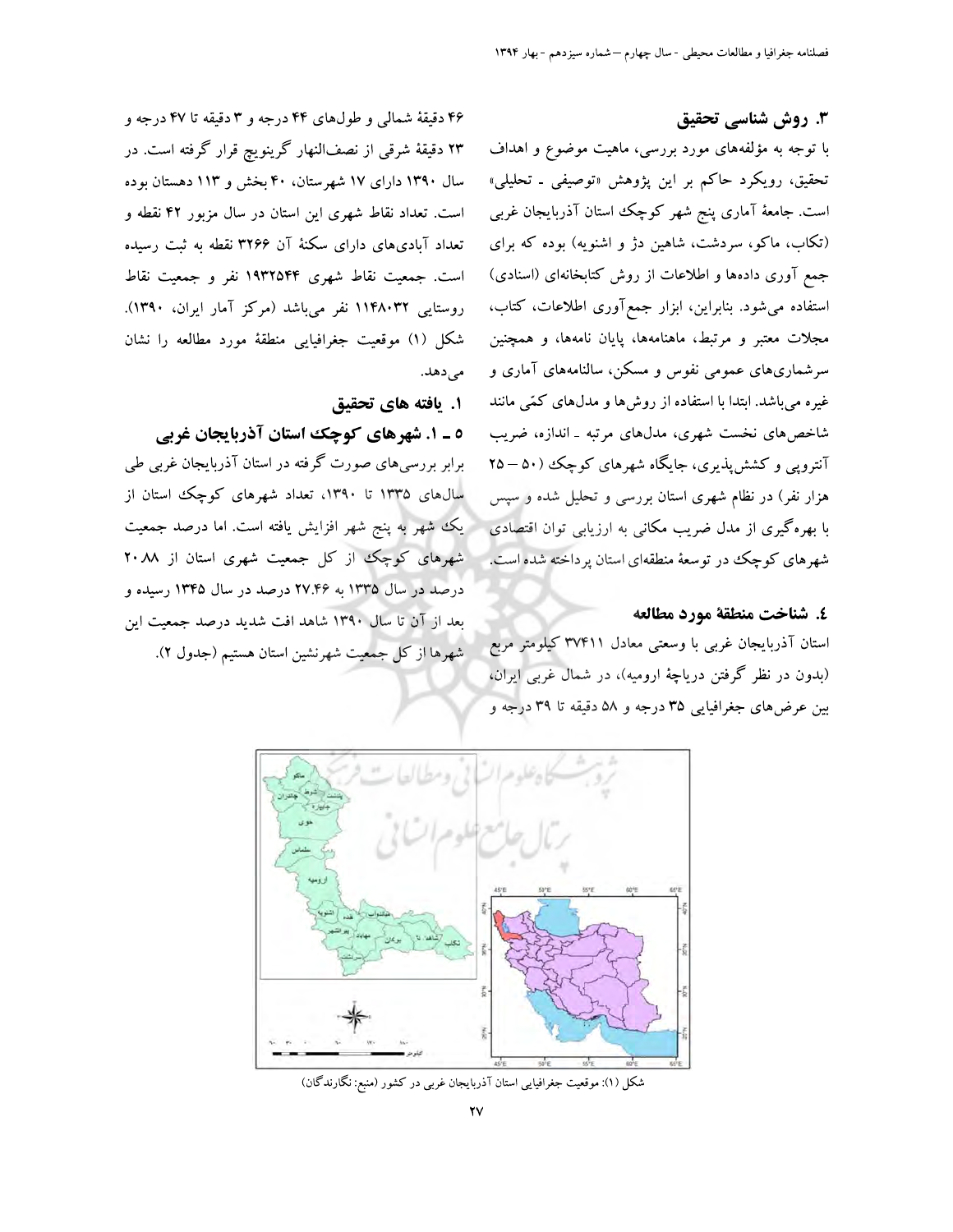### ۳. روش شناسی تحقیق

با توجه به مؤلفههای مورد بررسی، ماهیت موضوع و اهداف تحقیق، رویکرد حاکم بر این پژوهش «توصیفی ـ تحلیلی» است. جامعهٔ آماری پنج شهر کوچک استان آذربایجان غربی (تکاب، ماکو، سردشت، شاهین دژ و اشنویه) بوده که برای جمع آوری دادهها و اطلاعات از روش کتابخانهای (اسنادی) استفاده می شود. بنابراین، ابزار جمع آوری اطلاعات، کتاب، مجلات معتبر و مرتبط، ماهنامهها، پایان نامهها، و همچنین سرشماریهای عمومی نفوس و مسکن، سالنامههای آماری و غیره میباشد. ابتدا با استفاده از روشها و مدلهای کمّی مانند شاخصهای نخست شهری، مدلهای مرتبه ـ اندازه، ضریب آنتروپی و کشش پذیری، جایگاه شهرهای کوچک (۵۰ – ۲۵ هزار نفر) در نظام شهری استان بررسی و تحلیل شده و سپس با بهرهگیری از مدل ضریب مکانی به ارزیابی توان اقتصادی شهرهای کوچک در توسعهٔ منطقهای استان پرداخته شده است.

#### ٤. شناخت منطقة مورد مطالعه

استان آذربایجان غربی با وسعتی معادل ۳۷۴۱۱ کیلومتر مربع (بدون در نظر گرفتن دریاچهٔ ارومیه)، در شمال غربی ایران، بین عرضهای جغرافیایی ۳۵ درجه و ۵۸ دقیقه تا ۳۹ درجه و

۴۶ دقیقهٔ شمالی و طولهای ۴۴ درجه و ۳ دقیقه تا ۴۷ درجه و ۲۳ دقیقهٔ شرقی از نصفالنهار گرینویچ قرار گرفته است. در سال ۱۳۹۰ دارای ۱۷ شهرستان، ۴۰ بخش و ۱۱۳ دهستان بوده است. تعداد نقاط شهری این استان در سال مزبور ۴۲ نقطه و تعداد آبادیهای دارای سکنهٔ آن ۳۲۶۶ نقطه به ثبت رسیده است. جمعیت نقاط شهری ۱۹۳۲۵۴۴ نفر و جمعیت نقاط روستایی ۱۱۴۸۰۳۲ نفر میباشد (مرکز آمار ایران، ۱۳۹۰). شكل (١) موقعيت جغرافيايي منطقة مورد مطالعه را نشان امے ردھات

#### 1. يافته هاي تحقيق

٥ \_ ١. شهرهاي كوچك استان آذربايجان غربي برابر بررسیهای صورت گرفته در استان آذربایجان غربی طی

سال های ۱۳۳۵ تا ۱۳۹۰، تعداد شهرهای کوچک استان از یک شهر به پنج شهر افزایش یافته است. اما درصد جمعیت شهرهای کوچک از کل جمعیت شهری استان از ۲۰*۸*۸ درصد در سال ۱۳۳۵ به ۲۷.۴۶ درصد در سال ۱۳۴۵ رسیده و بعد از آن تا سال ۱۳۹۰ شاهد افت شدید درصد جمعیت این شهرها از كل جمعيت شهرنشين استان هستيم (جدول ٢).



شکل (۱): موقعیت جغرافیایی استان آذربایجان غربی در کشور (منبع: نگارندگان)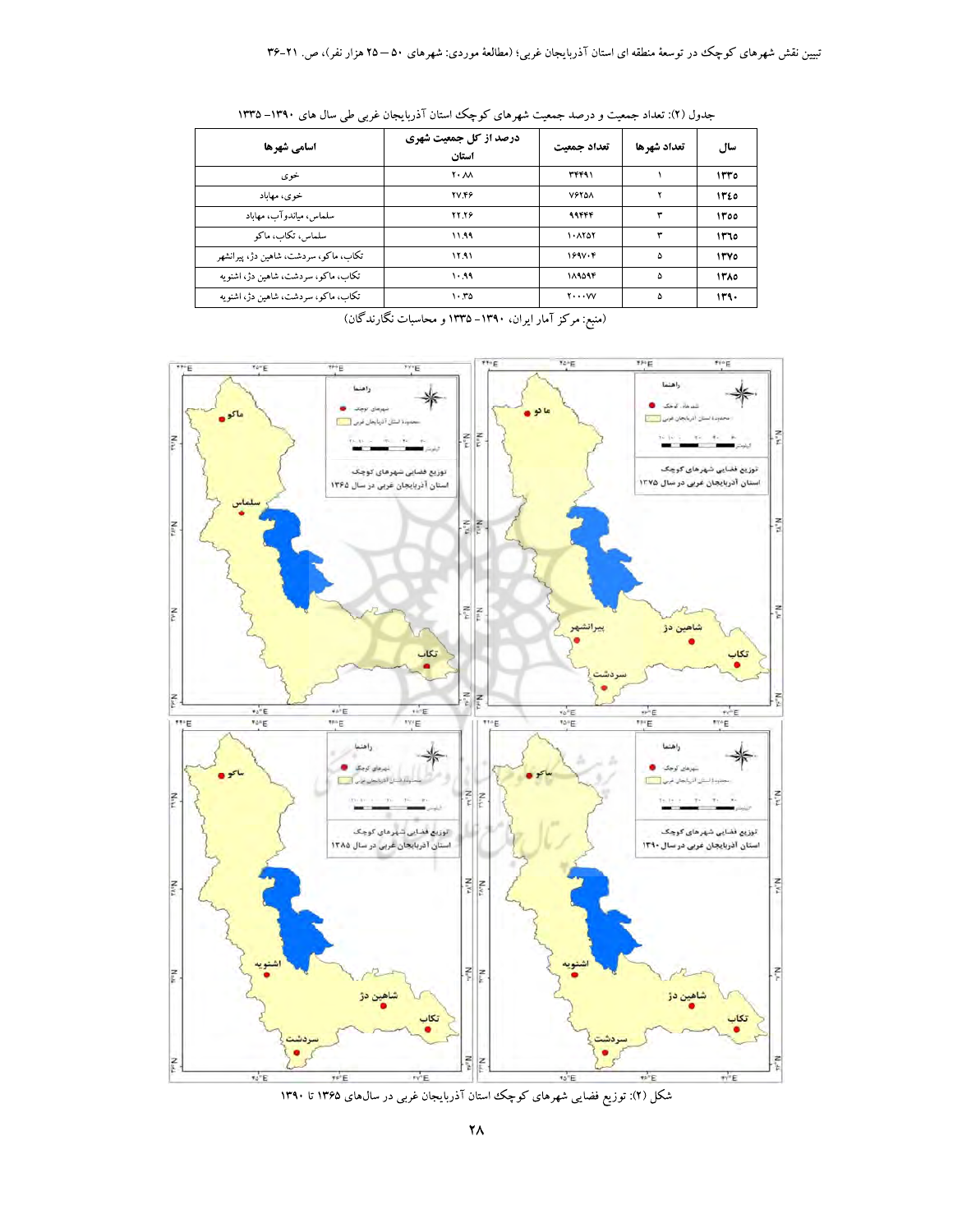| اسامي شهرها                           | درصد از کل جمعیت شهری<br>استان | تعداد حمعت               | تعداد شهرها | سال          |
|---------------------------------------|--------------------------------|--------------------------|-------------|--------------|
| خوی                                   | $Y \cdot \mathcal{N}$          | 37491                    |             | 1550         |
| خوی، مهاباد                           | <b>TV.FF</b>                   | <b>VETOA</b>             |             | 1350         |
| سلماس، مياندوآب، مهاباد               | <b>TY.TP</b>                   | 99444                    | ٣           | 1300         |
| سلماس، تكاب، ماكو                     | ۱۱.۹۹                          | ۱۰۸۲۵۲                   | ٣           | ۱۳٦٥         |
| تکاب، ماکو، سردشت، شاهین دژ، پیرانشهر | 11.91                          | 199V·F                   | ۵           | <b>1۳</b> YO |
| تکاب، ماکو، سردشت، شاهین دژ، اشنویه   | 1.99                           | 184444                   | ۵           | ۱۳۸٥         |
| تکاب، ماکو، سردشت، شاهین دژ، اشنو به  | 1.70                           | $Y \cdot \cdot \cdot VV$ | ۵           | ۱۳۹۰         |

جدول (۲): تعداد جمعیت و درصد جمعیت شهرهای کوچک استان آذربایجان غربی طی سال های ۱۳۹۰–۱۳۳۵

(منبع: مرکز آمار ایران، ۱۳۹۰–۱۳۳۵ و محاسبات نگارندگان)



شکل (۲): توزیع فضایی شهرهای کوچک استان آذربایجان غربی در سالهای ۱۳۶۵ تا ۱۳۹۰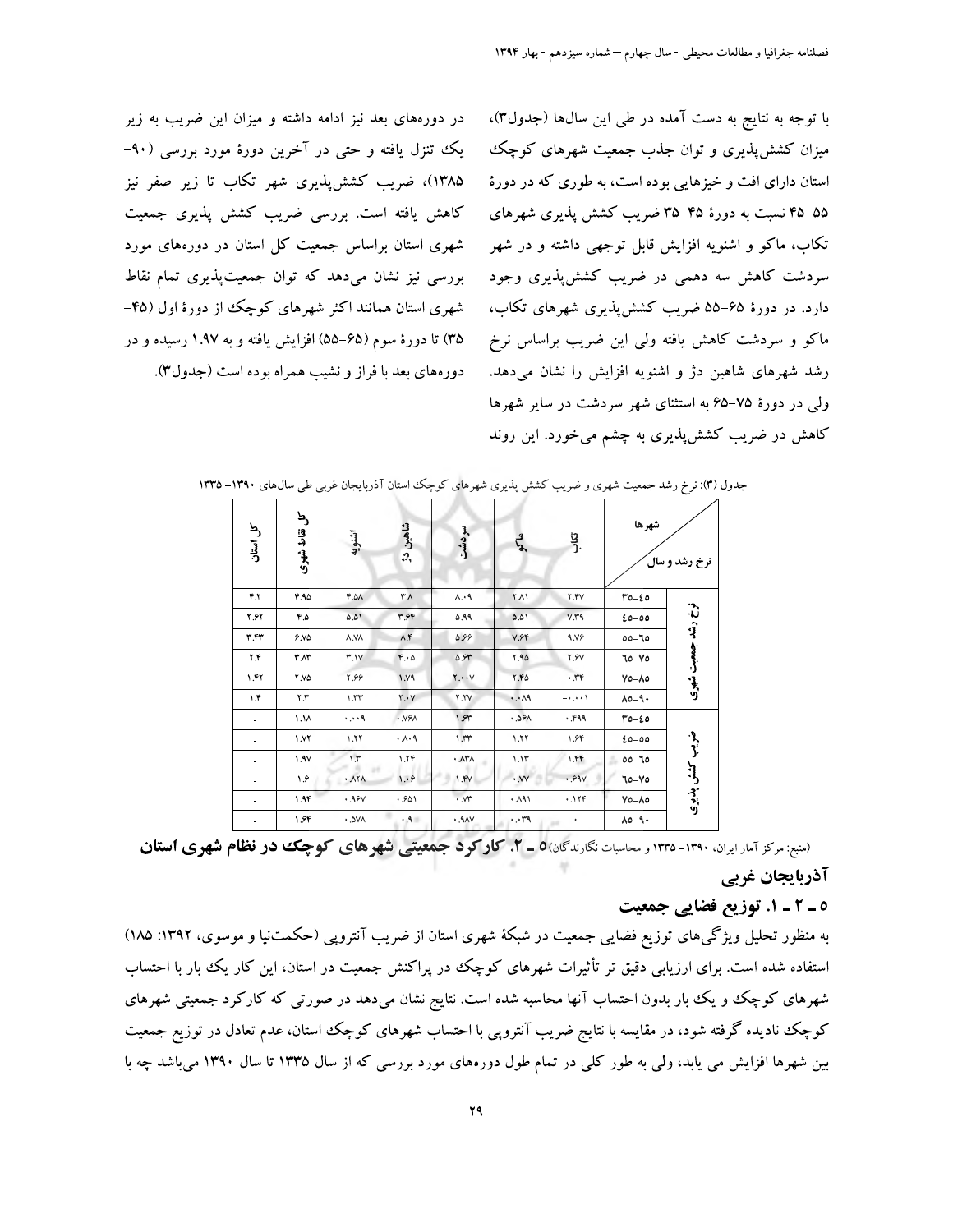در دورههای بعد نیز ادامه داشته و میزان این ضریب به زیر یک تنزل یافته و حتبی در آخرین دورهٔ مورد بررسی (۹۰-۱۳۸۵)، ضریب کشش پذیری شهر تکاب تا زیر صفر نیز کاهش یافته است. بررسی ضریب کشش پذیری جمعیت شهری استان براساس جمعیت کل استان در دورههای مورد بررسی نیز نشان میدهد که توان جمعیتپذیری تمام نقاط شهری استان همانند اکثر شهرهای کوچک از دورهٔ اول (۴۵-۳۵) تا دورهٔ سوم (۶۵–۵۵) افزایش یافته و به ۱.۹۷ رسیده و در دورههاي بعد با فراز و نشيب همراه بوده است (جدول٣).

با توجه به نتایج به دست آمده در طی این سالها (جدول٣)، میزان کشش پذیری و توان جذب جمعیت شهرهای کوچک استان دارای افت و خیزهایی بوده است، به طوری که در دورهٔ ۵۵–۴۵ نسبت به دورهٔ ۴۵–۳۵ ضریب کشش پذیری شهرهای تکاب، ماکو و اشنویه افزایش قابل توجهی داشته و در شهر سردشت کاهش سه دهمی در ضریب کشش پذیری وجود دارد. در دورهٔ ۶۵–۵۵ ضریب کشش پذیری شهرهای تکاب، ماکو و سردشت کاهش یافته ولی این ضریب براساس نرخ رشد شهرهای شاهین دژ و اشنویه افزایش را نشان میدهد. ولی در دورهٔ ۷۵–۶۵ به استثنای شهر سردشت در سایر شهرها کاهش در ضریب کشش پذیری به چشم میخورد. این روند

| کل استان                     | کل نقاط شهری     | اشنويه                                | شاهين<br>$\mathfrak{L}$ | سردشت                               | مگہ                    | <u>ي</u><br>-ر | شهرها             | نرخ رشد و سال      |
|------------------------------|------------------|---------------------------------------|-------------------------|-------------------------------------|------------------------|----------------|-------------------|--------------------|
| ۴.۲                          | 40               | FA.2A                                 | ۳۸                      | A.A                                 | ۲Λ١                    | Y.FV           | $T0 - 20$         |                    |
| <b>Y.SY</b>                  | $F.\Delta$       | ۵.۵۱                                  | ۳.۶۴                    | ٥.٩٩                                | ۵.۵۱                   | V.Y.9          | $20 - 00$         |                    |
| ٣.۴٣                         | 9.10             | A.VA                                  | $\Lambda$ .۴            | 5.99                                | V.FF                   | 9.19           | $00 - 70$         |                    |
| ۲.۴                          | $r_Ar$           | 4.1Y                                  | $F \cdot \Delta$        | 0.94                                | $Y.A\Delta$            | <b>٢.۶</b> V   | 70-70             |                    |
| ۱.۴۲                         | <b>Y.VO</b>      | ۴.۶۶                                  | 1.19                    | $\mathbf{Y} \cdot \cdot \mathbf{Y}$ | $Y.F\Delta$            | .77            | $Y_0 - \lambda_0$ | نرخ رشد جمعیت شهری |
| ۱۴                           | ۲.۳              | $\lambda$ . $\mathsf{rr}$             | $Y \cdot V$             | Y.TV                                | $\cdot \cdot \wedge$ ٩ | $-1$ , $+1$    | $A0 - 9$          |                    |
| ۰                            | 1.1 <sub>A</sub> | $\cdots$ ۹                            | $\cdot$ . $VY$          | 1.94                                | .09A                   | .399           | $T0 - 20$         |                    |
| ۰                            | 1.1              | 1.77                                  | $\cdot \wedge \cdot$ 9  | 1.1                                 | 1.11                   | ۱.۶۴           | $20 - 00$         |                    |
| ۰                            | 1.9V             | 1.7                                   | 1.19                    | ٠Δ٣٨                                | 1.11                   | ۱.۴۴           | $00 - 70$<br>s.   |                    |
| -                            | ۱۶               | $\cdot$ $\lambda$ $\uparrow$ $\wedge$ | 1.9                     | 1.5V                                | $\cdot$ VV             | .99V           | 70-70             | ضريب كشش يذيرى     |
| $\qquad \qquad \blacksquare$ | 1.95             | .98V                                  | .901                    | $\cdot$ $\mathcal{M}$               | . A                    | .119           | $Y_0 - \lambda_0$ |                    |
|                              | ۱.۶۴             | ۵V٨.                                  | $.9 -$                  | .9AV                                | $\cdots$ rq            | $\bullet$      | $\lambda$ 0-9.    |                    |

جدول (۳): نرخ رشد جمعیت شهری و ضریب کشش پذیری شهرهای کوچک استان آذربایجان غربی طی سال های ۱۳۹۰–۱۳۳۵

(منبع: مرکز آمار ایران، ۱۳۹۰- ۱۳۳۵ و محاسبات نگارندگان) - ۲. کار کو د جمعیتی شهرهای کوچک در نظام شهری استان

#### آذربایجان غربی

## ٥ ـ ٢ ـ ١. توزيع فضايي جمعيت

به منظور تحلیل ویژگیهای توزیع فضایی جمعیت در شبکهٔ شهری استان از ضریب آنتروپی (حکمتنیا و موسوی، ۱۳۹۲: ۱۸۵) استفاده شده است. برای ارزیابی دقیق تر تأثیرات شهرهای کوچک در پراکنش جمعیت در استان، این کار یک بار با احتساب شهرهای کوچک و یک بار بدون احتساب آنها محاسبه شده است. نتایج نشان میدهد در صورتی که کارکرد جمعیتی شهرهای کوچک نادیده گرفته شود، در مقایسه با نتایج ضریب آنتروپی با احتساب شهرهای کوچک استان، عدم تعادل در توزیع جمعیت بین شهرها افزایش می یابد، ولی به طور کلی در تمام طول دورههای مورد بررسی که از سال ۱۳۳۵ تا سال ۱۳۹۰ میباشد چه با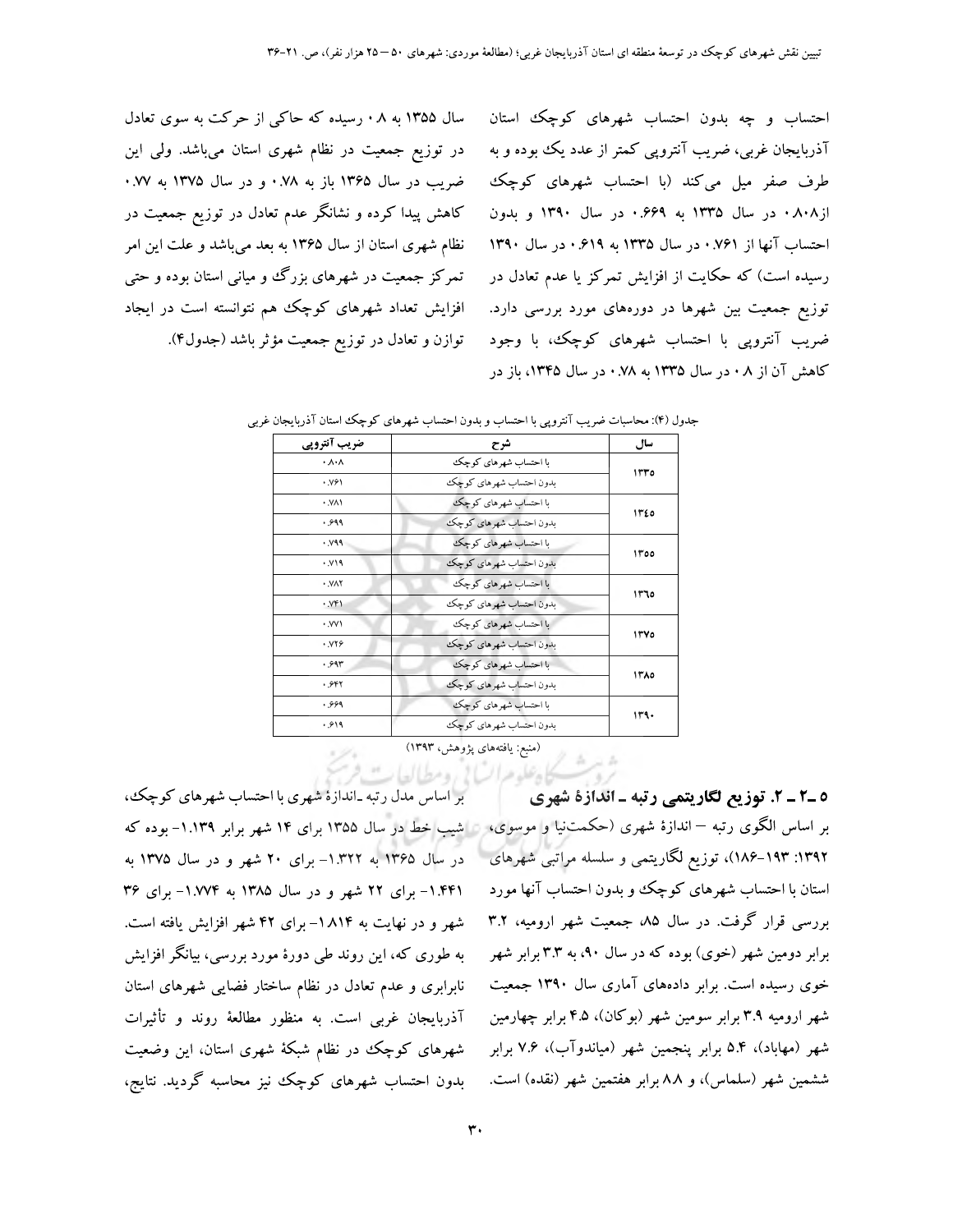سال ۱۳۵۵ به ۰۸ رسیده که حاکی از حرکت به سوی تعادل احتساب و چه بدون احتساب شهرهای کوچک استان در توزیع جمعیت در نظام شهری استان میباشد. ولی این ضریب در سال ۱۳۶۵ باز به ۰.۷۸ و در سال ۱۳۷۵ به ۰.۷۷ کاهش پیدا کرده و نشانگر عدم تعادل در توزیع جمعیت در نظام شهری استان از سال ۱۳۶۵ به بعد میباشد و علت این امر تمرکز جمعیت در شهرهای بزرگ و میانی استان بوده و حتی افزایش تعداد شهرهای کوچک هم نتوانسته است در ایجاد توازن و تعادل در توزیع جمعیت مؤثر باشد (جدول۴).

آذربایجان غربی، ضریب آنتروپی کمتر از عدد یک بوده و به طرف صفر میل میکند (با احتساب شهرهای کوچک از۰۸۰۸ در سال ۱۳۳۵ به ۰.۶۶۹ در سال ۱۳۹۰ و بدون احتساب آنها از ۰.۷۶۱ در سال ۱۳۳۵ به ۰.۶۱۹ در سال ۱۳۹۰ رسیده است) که حکایت از افزایش تمرکز یا عدم تعادل در توزیع جمعیت بین شهرها در دورههای مورد بررسی دارد. ضریب آنتروپی با احتساب شهرهای کوچک، با وجود کاهش آن از ۰۸ در سال ۱۳۳۵ به ۷۸. در سال ۱۳۴۵، باز در

| ضریب آنترویی                | شرح                     | سال  |
|-----------------------------|-------------------------|------|
| $\cdot \wedge \cdot \wedge$ | با احتساب شهرهای کو چکئ | ۱۳۳٥ |
| ۰.۷۶۱                       | بدون احتساب شهرهاي كوچك |      |
| ٠.V٨١                       | با احتساب شهرهای کوچک   | ۱۳٤٥ |
| .999                        | بدون احتساب شهرهای کوچک |      |
| .499                        | با احتساب شهرهای کوچک   | ۱۳٥٥ |
| . v19                       | بدون احتساب شهرهای کوچک |      |
| · VAY                       | با احتساب شهرهای کوچک   |      |
| .951                        | بدون احتساب شهرهای کوچک | ۱۳٦٥ |
| ۰.VV۱                       | با احتساب شهرهای کوچک   | ۱۳۷٥ |
| <b>. VYS</b>                | بدون احتساب شهرهاي كوچك |      |
| .997                        | با احتساب شهرهای کوچک   | ۱۳۸٥ |
| .957                        | بدون احتساب شهرهای کوچک |      |
| .999                        | با احتساب شهرهای کوچک   | ۱۳۹۰ |
| .919                        | بدون احتساب شهرهای کوچک |      |

|  | جدول (۴): محاسبات ضریب آنتروپی با احتساب و بدون احتساب شهرهای کوچک استان آذربایجان غربی |  |  |  |  |  |  |  |  |  |  |  |  |
|--|-----------------------------------------------------------------------------------------|--|--|--|--|--|--|--|--|--|--|--|--|
|--|-----------------------------------------------------------------------------------------|--|--|--|--|--|--|--|--|--|--|--|--|

(منبع: یافتههای پژوهش، ۱۳۹۳)

ملدهرات! رومطالعات

بر اساس مدل رتبه ـاندازهٔ شهری با احتساب شهرهای کوچک، در سال ۱۳۶۵ به ۱۳۲۲– برای ۲۰ شهر و در سال ۱۳۷۵ به . ۱.۴۴۱- برای ۲۲ شهر و در سال ۱۳۸۵ به ۱.۷۷۴- برای ۳۶ شهر و در نهایت به ۱۸۱۴- برای ۴۲ شهر افزایش یافته است. به طوری که، این روند طی دورهٔ مورد بررسی، بیانگر افزایش نابرابری و عدم تعادل در نظام ساختار فضایی شهرهای استان آذربایجان غربی است. به منظور مطالعهٔ روند و تأثیرات شهرهای کوچک در نظام شبکهٔ شهری استان، این وضعیت بدون احتساب شهرهای کوچک نیز محاسبه گردید. نتایج،

٥ ـ٢ ـ ٢. توزيع لگاريتمي رتبه ـ اندازة شهري بر اساس الگوی رتبه —اندازهٔ شهری (حکمتنیا و موسوی، ۱ شیب خط در سال ۱۳۵۵ برای ۱۴ شهر برابر ۱.۱۳۹- بوده که ۱۳۹۲: ۱۸۴–۱۸۶)، توزیع لگاریتمی و سلسله مراتبی شهرهای استان با احتساب شهرهای کوچک و بدون احتساب آنها مورد بررسی قرار گرفت. در سال ۸۵ جمعیت شهر ارومیه، ۳.۲ برابر دومین شهر (خوی) بوده که در سال ۹۰، به ۳.۳ برابر شهر خوی رسیده است. برابر دادههای آماری سال ۱۳۹۰ جمعیت شهر ارومیه ۳.۹ برابر سومین شهر (بوکان)، ۴.۵ برابر چهارمین شهر (مهاباد)، ۵.۴ برابر پنجمین شهر (میاندوآب)، ۷.۶ برابر ششمین شهر (سلماس)، و ۸۸ برابر هفتمین شهر (نقده) است.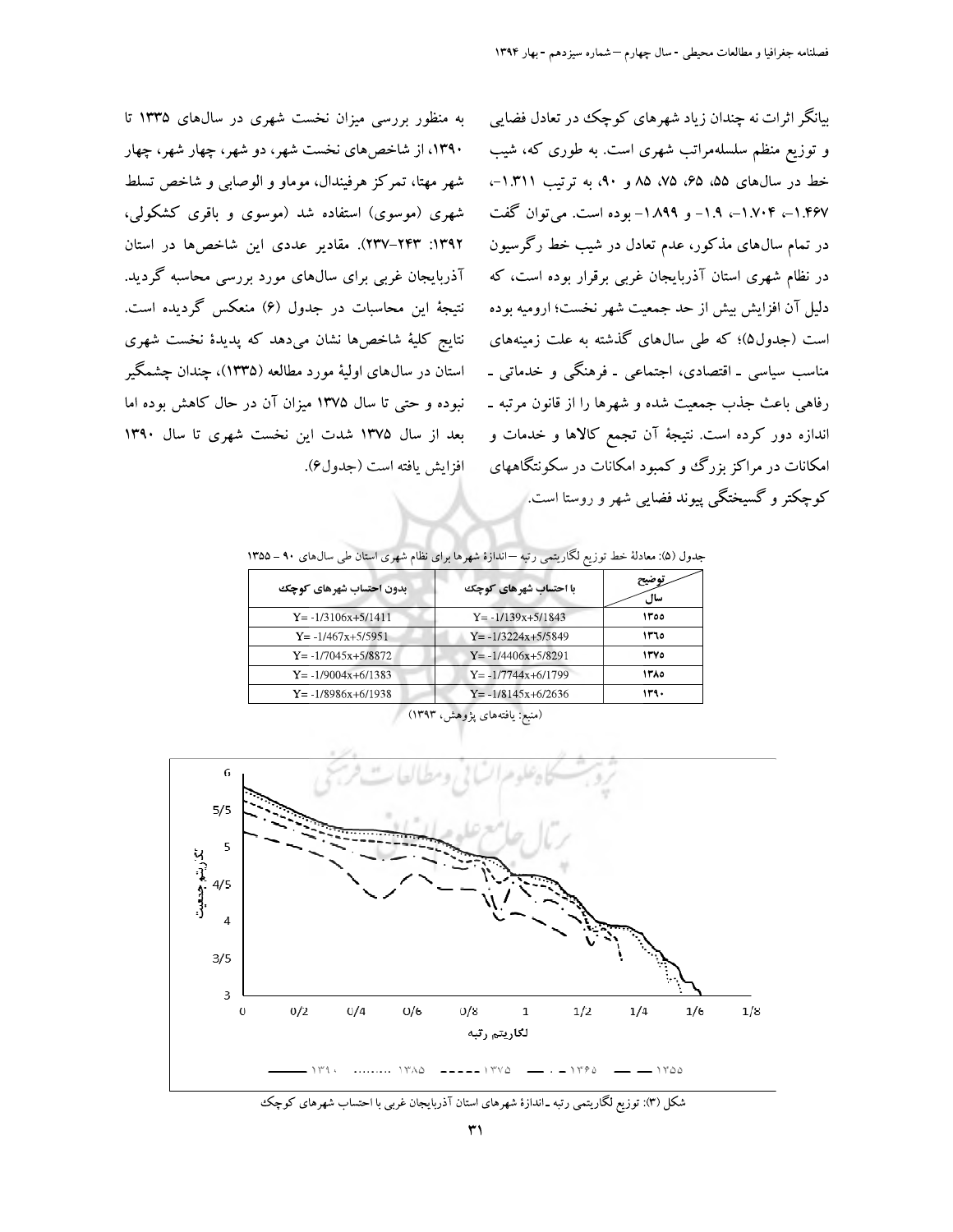بیانگر اثرات نه چندان زیاد شهرهای کوچک در تعادل فضایی و توزیع منظم سلسلهمراتب شهری است. به طوری که، شیب خط در سال های ۵۵، ۶۵، ۷۵، ۸۵ و ۹۰، به ترتیب ۱.۳۱۱–، ۱.۴۶۷–، ۱.۷۰۴–، ۱.۹– و ۱.۸۹۹– بوده است. می توان گفت در تمام سال@ای مذکور، عدم تعادل در شیب خط رگرسیون در نظام شهری استان آذربایجان غربی برقرار بوده است، که دلیل آن افزایش بیش از حد جمعیت شهر نخست؛ ارومیه بوده است (جدول۵)؛ که طی سالهای گذشته به علت زمینههای مناسب سیاسی ۔ اقتصادی، اجتماعی ۔ فرهنگی و خدماتی ۔ رفاهي باعث جذب جمعيت شده و شهرها را از قانون مرتبه ـ اندازه دور کرده است. نتیجهٔ آن تجمع کالاها و خدمات و امکانات در مراکز بزرگ و کمبود امکانات در سکونتگاههای کوچکتر و گسیختگی پیوند فضایی شهر و روستا است.ا

به منظور بررسی میزان نخست شهری در سالهای ۱۳۳۵ تا ۱۳۹۰، از شاخص۵مای نخست شهر، دو شهر، چهار شهر، چهار شهر مهتا، تمركز هرفيندال، موماو و الوصابي و شاخص تسلط شهری (موسوی) استفاده شد (موسوی و باقری کشکولی، ١٣٩٢: ٢٣٣-٢٣٧). مقادير عددي اين شاخصها در استان آذربایجان غربی برای سالهای مورد بررسی محاسبه گردید. نتيجهٔ اين محاسبات در جدول (۶) منعکس گرديده است. نتايج كليهٔ شاخصها نشان مىدهد كه پديدهٔ نخست شهرى استان در سال@ای اولیهٔ مورد مطالعه (۱۳۳۵)، چندان چشمگیر نبوده و حتی تا سال ۱۳۷۵ میزان آن در حال کاهش بوده اما بعد از سال ۱۳۷۵ شدت این نخست شهری تا سال ۱۳۹۰ افزايش يافته است (جدول¢).

جدول (۵): معادلهٔ خط توزیع لگاریتمی رتبه —اندازهٔ شهرها برای نظام شهری استان طی سالهای ۹۰ – ۱۳۵۵

| بدون احتساب شهرهای کوچک | با احتساب شهرهای کوچک   | ۔ نوصیح<br>سال |
|-------------------------|-------------------------|----------------|
| $Y = -1/3106x + 5/1411$ | $Y = -1/139x + 5/1843$  | ۱۳٥٥           |
| $Y = -1/467x + 5/5951$  | $Y = -1/3224x + 5/5849$ | ۱۳٦٥           |
| $Y = -1/7045x + 5/8872$ | $Y = -1/4406x + 5/8291$ | ۱۳۷۵           |
| $Y = -1/9004x + 6/1383$ | $Y = -1/7744x + 6/1799$ | ۱۳۸٥           |
| $Y = -1/8986x+6/1938$   | $Y = -1/8145x+6/2636$   | ۱۳۹۰           |



شکل (۳): توزیع لگاریتمی رتبه ـ اندازهٔ شهرهای استان آذربایجان غربی با احتساب شهرهای کوچک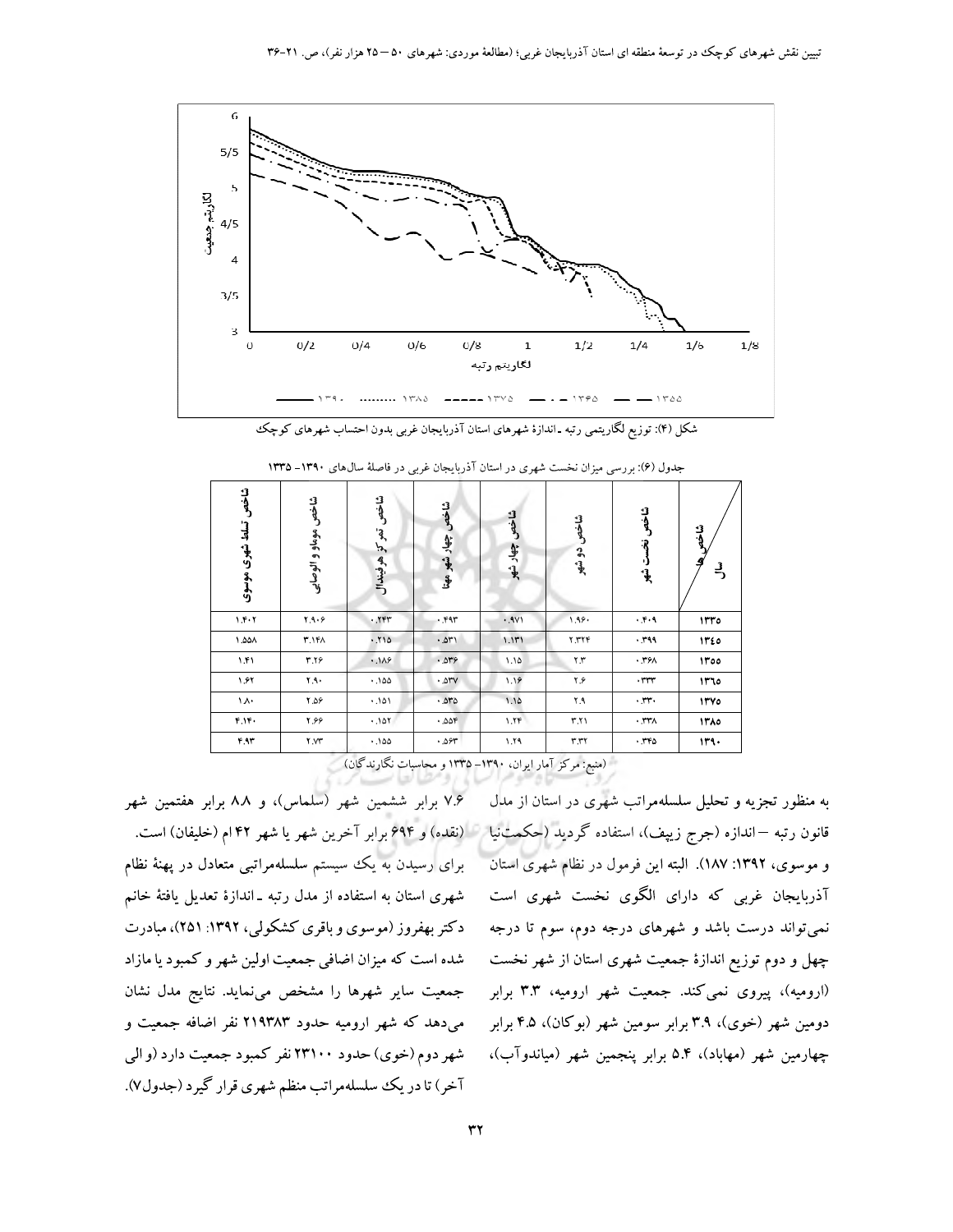

شکل (۴): توزیع لگاریتمی رتبه ـ اندازهٔ شهرهای استان آذربایجان غربی بدون احتساب شهرهای کوچک

| شاخص<br>تسلط شهرى موسوى | شاخص موماو و الوصابي    | شاخو<br>تعركني<br>هرفيندال | شاخص<br>چھار شھر مھتا | شاخص<br>چهار شهر | شاخص<br>دو شهر | شاخص<br>÷R<br>ر.<br>ڇپ     | شاخه<br>크 |
|-------------------------|-------------------------|----------------------------|-----------------------|------------------|----------------|----------------------------|-----------|
| 1.5.7                   | 4.9.9                   | .75                        | .791                  | .9V1             | 1.99.          | .7.9                       | 1170      |
| ۸۵۵۸.                   | ۴.١۴٨                   | 017.                       | .011                  | 1.111            | <b>7.٣٢۴</b>   | ۳۹۹.                       | ١٣٤٥      |
| ۱.۴۱                    | ۳.٢۶                    | .119                       | .019                  | ۱.۱۵             | $\mathbf{y}$   | .791                       | 1000      |
| ۱.۶۲                    | ۲۹۰                     | .100                       | .01V                  | 1.19             | ۴۶             | .777                       | ۱۳٦٥      |
| ١٨٠                     | $Y, \Delta \mathcal{P}$ | ۱۵۱.۰                      | .070                  | 1.10             | ۲.۹            | .14                        | 1100      |
| ۴.۱۴۰                   | ۴.۶۶                    | .101.                      | .008                  | 1.7F             | T.Y            | $\cdot$ , $\tau\tau\wedge$ | 1710      |
| F.97                    | ۲.V۳                    | .100                       | .097                  | 1.79             | ۳.۳۲           | .770                       | ۱۳۹۰      |

جدول (۶): بررسی میزان نخست شهری در استان آذربایجان غربی در فاصلهٔ سالهای ۱۳۹۰–۱۳۳۵

" (منبع: مرکز آمار ایران، ۱۳۹۰–۱۳۳۵ و محاسبات نگارندگان)

۷.۶ برابر ششمین شهر (سلماس)، و ۸۸ برابر هفتمین شهر برای رسیدن به یک سیستم سلسلهمراتبی متعادل در پهنهٔ نظام شهری استان به استفاده از مدل رتبه ـ اندازهٔ تعدیل یافتهٔ خانم دکتر بهفروز (موسوی و باقری کشکولی، ۱۳۹۲: ۲۵۱)، مبادرت شده است که میزان اضافی جمعیت اولین شهر و کمبود یا مازاد جمعیت سایر شهرها را مشخص می نماید. نتایج مدل نشان می دهد که شهر ارومیه حدود ۲۱۹۳۸۳ نفر اضافه جمعیت و شهر دوم (خوي) حدود ۲۳۱۰۰ نفر كمبود جمعيت دارد (و الي آخر) تا در یک سلسلهمراتب منظم شهری قرار گیرد (جدول۷).

به منظور تجزیه و تحلیل سلسلهمراتب شهری در استان از مدل قانون رتبه —اندازه (جرج زیپف)، استفاده گردید (حکمتنیا ، ازنقده) و ۶۹۴ برابر آخرین شهر یا شهر ۴۲ام (خلیفان) است. و موسوى، ١٣٩٢: ١٨٧). البته اين فرمول در نظام شهرى استان آذربایجان غربی که دارای الگوی نخست شهری است نمیتواند درست باشد و شهرهای درجه دوم، سوم تا درجه چهل و دوم توزیع اندازهٔ جمعیت شهری استان از شهر نخست (ارومیه)، پیروی نمیکند. جمعیت شهر ارومیه، ۳.۳ برابر دومین شهر (خوی)، ۳.۹ برابر سومین شهر (بوکان)، ۴.۵ برابر چهارمین شهر (مهاباد)، ۵.۴ برابر پنجمین شهر (میاندوآب)،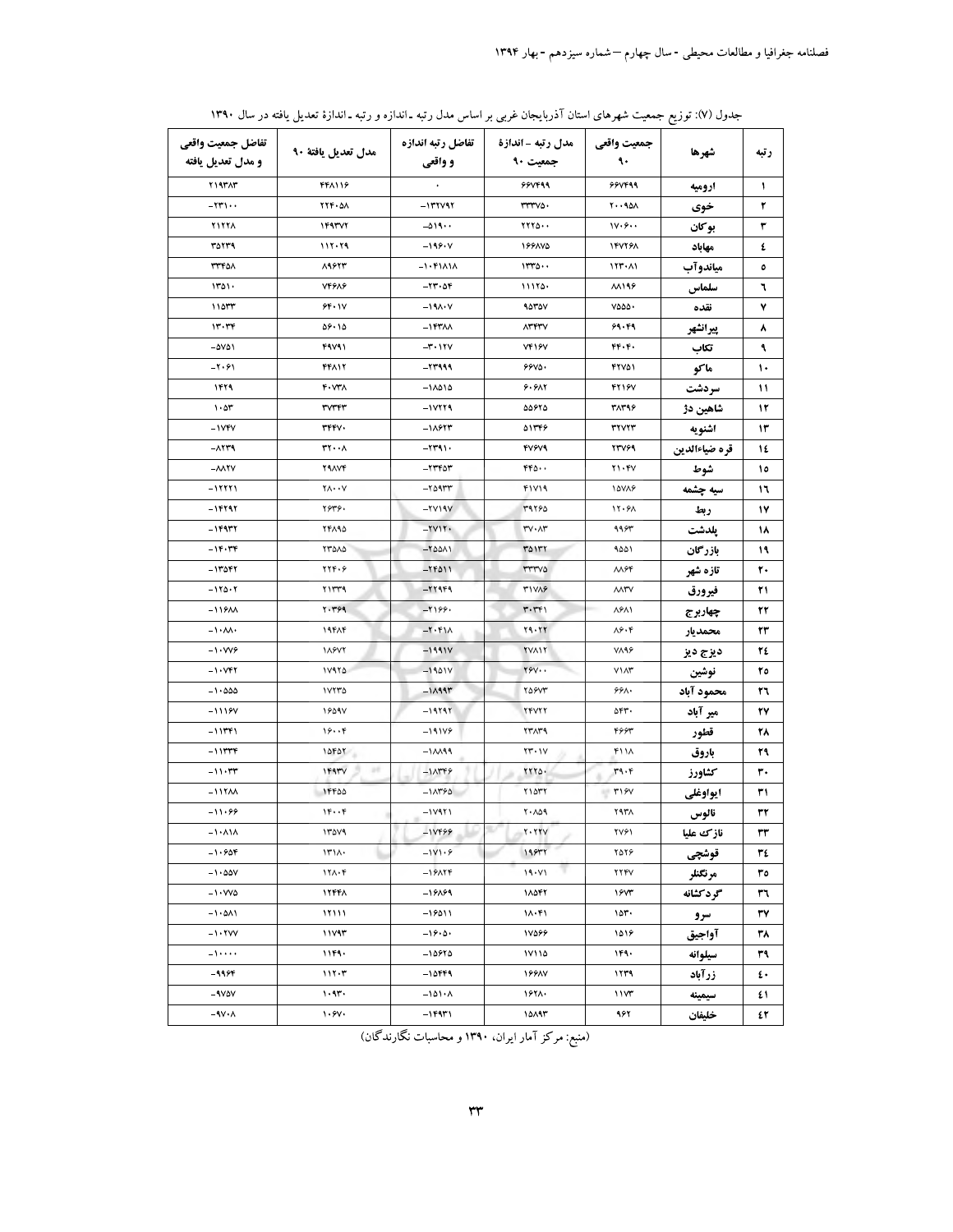| تفاضل جمعيت واقعى<br>و مدل تعديل يافته | مدل تعديل يافتة ٩٠                                | تفاضل رتبه اندازه<br>و واقعی       | مدل رتبه - اندازة<br>جمعیت ۹۰ | جمعيت واقعي<br>٩.         | شهرها         | رتبه         |
|----------------------------------------|---------------------------------------------------|------------------------------------|-------------------------------|---------------------------|---------------|--------------|
| <b>TIATAT</b>                          | <b>FFA119</b>                                     |                                    | <b>99VF99</b>                 | 99VF99                    | اروميه        | $\mathbf{L}$ |
| $-\tau\tau\cdots$                      | <b>٢٢۴٠٥٨</b>                                     | $-111141$                          | $rrrv$ .                      | $Y \cdot 90A$             | خوي           | ۲            |
| <b>TITTA</b>                           | 149377                                            | $-019$                             | YYY0                          | 1V.9                      | بوكان         | ٣            |
| ۳۵۲۳۹                                  | 117.79                                            | $-199.4$                           | 199800                        | <b>۱۴۷۲۶۸</b>             | مهاباد        | ٤            |
| <b>٣٣۴٥٨</b>                           | 89973                                             | $-1.51$ A1A                        | 1170                          | 111.1                     | مياندوآب      | ٥            |
| 1101.                                  | <b>VFGAG</b>                                      | $-11.06$                           | 11170.                        | <b>M199</b>               | سلماس         | ٦            |
| 11057                                  | 94.1V                                             | $-19A \cdot V$                     | 90707                         | ۷۵۵۵۰                     | نقده          | ٧            |
| ۱۳۰۳۴                                  | 09.10                                             | $-1$ FTAA                          | <b>ATFTV</b>                  | 99.89                     | پيرانشهر      | ۸            |
| $-\Delta V \Delta V$                   | 49V91                                             | $-1.111$                           | <b>VF16V</b>                  | FF.                       | تكاب          | ٩            |
| $-\mathbf{Y}\cdot\mathbf{Y}$           | 44112                                             | -23999                             | ۶۶۷۵۰                         | 42701                     | ماكو          | ١٠           |
| ۱۴۲۹                                   | $F \cdot VY$                                      | ۱۸۵۱۵–                             | ۶۰۶۸۲                         | 4218V                     | سردشت         | 11           |
| 1.07                                   | rvrrr                                             | $-11179$                           | ۵۵۶۲۵                         | 3139                      | شاهين دژ      | 1٢           |
| $-1YfV$                                | <b>TFFV.</b>                                      | $-11977$                           | ۵۱۳۴۶                         | <b>TYVYT</b>              | اشنويه        | ۱۳           |
| $ \Lambda$ ۲۳۹                         | $rr \cdot \lambda$                                | $-1191.$                           | <b>FV9V9</b>                  | <b>TTV69</b>              | قره ضياءالدين | 1٤           |
| $-\lambda\lambda$ YV                   | <b>YAAVF</b>                                      | $-11404$                           | $rr_0.$ .                     | Y1.5V                     | شوط           | ١٥           |
| $-11111$                               | $\gamma_{\Lambda} \cdots \gamma$                  | -2095                              | 41719                         | 10718                     | سيه چشمه      | ۱٦           |
| $-15797$                               | ۲۶۳۶.                                             | $-YV$ $Y$                          | 39780                         | 17.91                     | ربط           | ۱۷           |
| $-119977$                              | <b>TFA90</b>                                      | $-YVY$                             | <b>۳٧٠٨٣</b>                  | 9983                      | يلدشت         | ۱۸           |
| $-15.79$                               | TTOAD                                             | $-10011$                           | ۳۵۱۳۲                         | ۹۵۵۱                      | بازرگان       | 19           |
| $-11081$                               | YYF.9                                             | $-15011$                           | <b>TTTVO</b>                  | $\lambda\lambda$ ۶۴       | تازه شهر      | ٢.           |
| $-170.7$                               | ۲۱۳۳۹                                             | $-11969$                           | <b>٣١٧٨۶</b>                  | <b>AATV</b>               | فيرورق        | ۲۱           |
| $-1191$                                | Y.799                                             | $-1199.$                           | $r \cdot r r$                 | ለዎለነ                      | چهاربرج       | ٢٢           |
| $-1.1$                                 | 19818                                             | $-\mathbf{Y}\cdot\mathbf{Y}\wedge$ | 79.77                         | $\lambda$ ۶۰۴             | محمديار       | ٣٣           |
| $-1.999$                               | 11877                                             | -19917                             | <b>TVAIT</b>                  | <b>VARS</b>               | ديزج ديز      | ٢٤           |
| $-1.997$                               | 11970                                             | $-1901V$                           | $YYY \cdot \cdot$             | $V \Lambda r$             | نوشين         | ٢٥           |
| $-1.000$                               | ١٧٢٣٥                                             | $-1199$                            | <b>TOSVT</b>                  | ۶۶۸.                      | محمود آباد    | ٢٦           |
| $-1119V$                               | 1809V                                             | $-19797$                           | <b>TFVTT</b>                  | ۵۴۳.                      | میر آباد      | ۲۷           |
| ۱۱۳۴۱ -                                | 19.79                                             | $-191V$ ۶                          | TTATI                         | 4664                      | قطور          | ۲۸           |
| $-111779$                              | 10FOT                                             | $-11199$                           | $YY \cdot Y$                  | ۴۱۱۸                      | باروق         | ٣٩           |
| $-11.54$                               | 1597V                                             | $-1$ $\Lambda$ ۳۴۶                 | 7770.                         | 4.6                       | كشاورز        | ٣.           |
| $-11YAA$                               | 1FFOO                                             | $-1$ $\Lambda$ ۳۶۵                 | ٢١٥٣٢                         | $\mathsf{H}$ $\mathsf{H}$ | ايواوغلى      | ۳۱           |
| $-11.99$                               | $1F \cdot F$                                      | -17921                             | ۲۰۸۵۹                         | ۲۹۳۸                      | نالوس         | ٣٢           |
| $-1.11A$                               | 1404                                              | $-1VFF99$                          | $Y \cdot YYV$                 | ۲۷۶۱                      | نازك عليا     | ٣٣           |
| $-1.908$                               | 14.1                                              | $-1V1.9$                           | 195rr                         | $Y\Delta Y \hat{z}$       | قوشچى         | ٣٤           |
| $-1 \cdot 00V$                         | $17\lambda \cdot f$                               | $-19$ ATF                          | 19.11                         | 224Y                      | مرتكنلر       | ٣٥           |
| $-1.440$                               | 12441                                             | $-19099$                           | 18047                         | ۱۶۷۳                      | گرد کشانه     | ٣٦           |
| $-1 \cdot \Delta \Lambda$ )            | 11111                                             | $-19011$                           | 11.51                         | ۱۵۳۰                      | سرو           | ٣٧           |
| $-1.7VV$                               | 11Y4r                                             | $-19.0.$                           | 18666                         | ۱۵۱۶                      | آواجيق        | ۳۸           |
| $-1$                                   | 1159.                                             | $-10970$                           | ۱۷۱۱۵                         | ۱۴۹۰                      | سيلوانه       | ٣٩           |
| -9964                                  | 117.7                                             | -10449                             | <b>199AV</b>                  | ۱۲۳۹                      | زرآباد        | ٤٠           |
| $-4V\Delta V$                          | 1.97.                                             | $-101 - A$                         | ۱۶۲۸.                         | 11Y                       | سيمينه        | ٤١           |
| $-\gamma v \cdot \Lambda$              | $\mathcal{N} \cdot \mathcal{S} \mathcal{N} \cdot$ | $-15971$                           | ۱۵۸۹۳                         | ۹۶۲                       | خليفان        | ٤٢           |

جدول (۷): توزیع جمعیت شهرهای استان آذربایجان غربی بر اساس مدل رتبه ـ اندازه و رتبه ـ اندازهٔ تعدیل یافته در سال ۱۳۹۰

(منبع: مرکز آمار ایران، ۱۳۹۰ و محاسبات نگارندگان)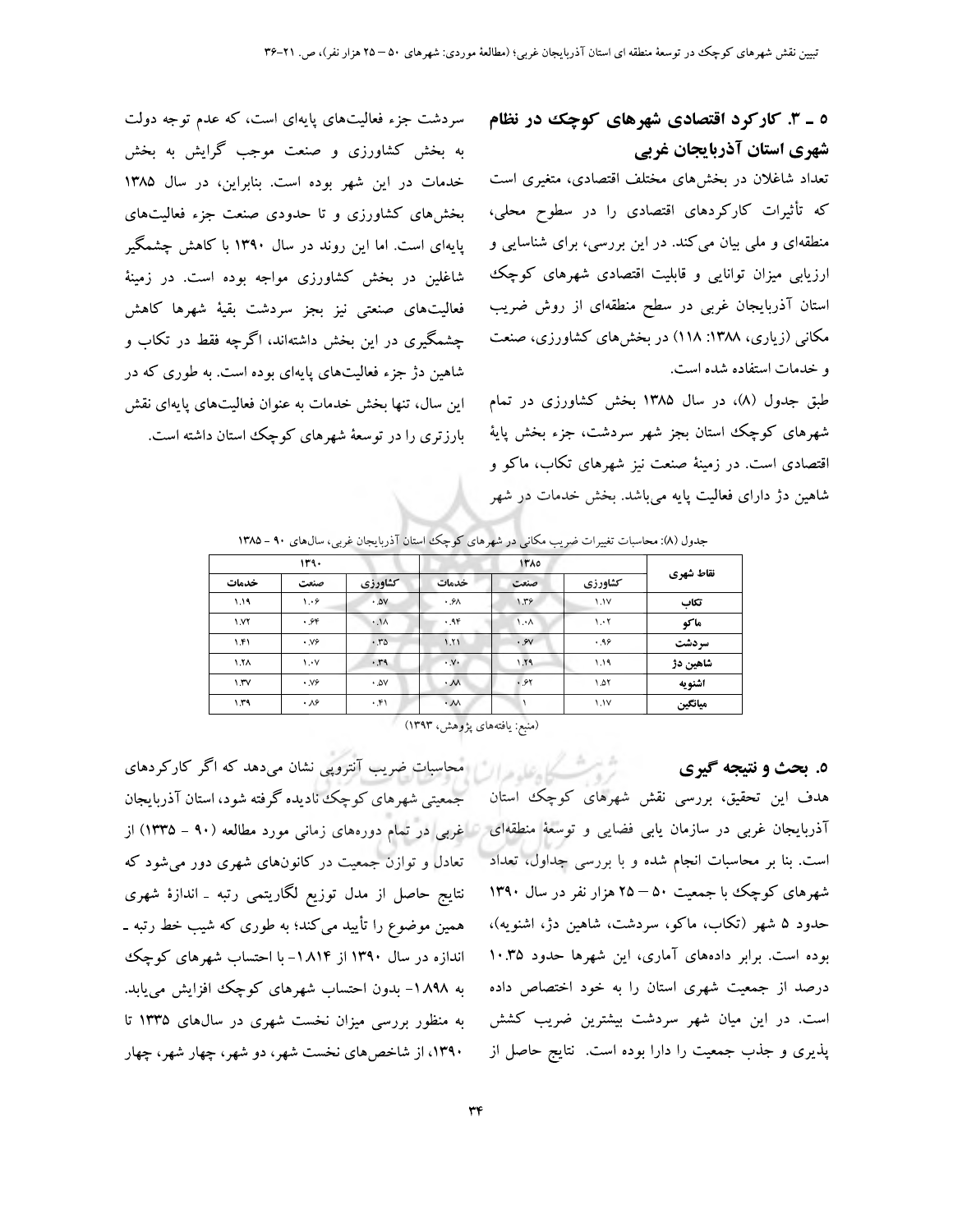# ٥ ـ ٣. کارکرد اقتصادی شهرهای کوچک در نظام شهری استان آذربایجان غربی

تعداد شاغلان در بخشهای مختلف اقتصادی، متغیری است که تأثیرات کارکردهای اقتصادی را در سطوح محلی، منطقهای و ملی بیان میکند. در این بررسی، برای شناسایی و ارزیابی میزان توانایی و قابلیت اقتصادی شهرهای کوچک استان آذربایجان غربی در سطح منطقهای از روش ضریب مکانی (زیاری، ۱۳۸۸: ۱۱۸) در بخشهای کشاورزی، صنعت و خدمات استفاده شده است.

طبق جدول (۸)، در سال ۱۳۸۵ بخش کشاورزی در تمام شهرهای کوچک استان بجز شهر سردشت، جزء بخش پایهٔ اقتصادی است. در زمینهٔ صنعت نیز شهرهای تکاب، ماکو و شاهین دژ دارای فعالیت پایه میباشد. بخش خدمات در شهر

سردشت جزء فعالیتهای پایهای است، که عدم توجه دولت به بخش کشاورزی و صنعت موجب گرایش به بخش خدمات در این شهر بوده است. بنابراین، در سال ۱۳۸۵ بخشهای کشاورزی و تا حدودی صنعت جزء فعالیتهای پایهای است. اما این روند در سال ۱۳۹۰ با کاهش چشمگیر شاغلین در بخش کشاورزی مواجه بوده است. در زمینهٔ فعالیتهای صنعتی نیز بجز سردشت بقیهٔ شهرها کاهش چشمگیری در این بخش داشتهاند، اگرچه فقط در تکاب و شاهین دژ جزء فعالیتهای پایهای بوده است. به طوری که در این سال، تنها بخش خدمات به عنوان فعالیتهای پایهای نقش بارزتری را در توسعهٔ شهرهای کوچک استان داشته است.

|           |               | <b>ITA0</b>             | 114.                |                                  |                   |             |  |
|-----------|---------------|-------------------------|---------------------|----------------------------------|-------------------|-------------|--|
| نقاط شهري | كشاورزي       | صنعت                    | خدمات               | كشاورزي                          | صنعت              | خدمات       |  |
| تكاب      | 1.1V          | 1.59                    | .9A                 | .0V                              | 1.9               | 1.19        |  |
| ماكو      | $\mathcal{N}$ | $\Lambda \cdot \Lambda$ | .9F                 | $\cdot \cdot \cdot \cdot \wedge$ | .96               | <b>I VY</b> |  |
| سردشت     | .99           | .9V                     | 1.11                | .70                              | $\cdot$ V $\circ$ | 1.51        |  |
| شاهين دژ  | ۱.۱۹          | 1.79                    | $\cdot$ . $V\cdot$  | .49                              | $\mathcal{N}$     | ۱.۲٨        |  |
| اشنويه    | ۱.۵۲          | .91                     | $\cdot \mathcal{M}$ | $\cdot$ AV                       | $\cdot$ Y $\circ$ | 1.TV        |  |
| ميانگين   | 1.1V          |                         | $\cdot \mathcal{N}$ | .51                              | $\cdot \lambda$ ۶ | 1.59        |  |

جدول (۸): محاسبات تغییرات ضریب مکانی در شهرهای کوچک استان آذربایجان غربی، سالهای ۹۰ - ۱۳۸۵

(منبع: یافتههای پژوهش، ۱۳۹۳)

٥. بحث و نتيجه گيري هدف این تحقیق، بررسی نقش شهرهای کوچک استان است. بنا بر محاسبات انجام شده و با بررسی جداول، تعداد شهرهای کوچک با جمعیت ۵۰ – ۲۵ هزار نفر در سال ۱۳۹۰ حدود ۵ شهر (تکاب، ماکو، سردشت، شاهین دژ، اشنویه)، بوده است. برابر دادههای آماری، این شهرها حدود ۱۰.۳۵ درصد از جمعیت شهری استان را به خود اختصاص داده است. در این میان شهر سردشت بیشترین ضریب کشش پذیری و جذب جمعیت را دارا بوده است. نتایج حاصل از

تر استکسیل علم در این امجاسیات ضریب آنتروپی نشان میدهد که اگر کارکردهای جمعیتی شهرهای کوچک نادیده گرفته شود، استان آذربایجان آذربایجان غربی در سازمان یابی فضایی و توسعهٔ منطقهای با غربی در تمام دورههای زمانی مورد مطالعه (۹۰ – ۱۳۳۵) از تعادل و توازن جمعیت در کانونهای شهری دور میشود که نتایج حاصل از مدل توزیع لگاریتمی رتبه ـ اندازهٔ شهری همین موضوع را تأیید میکند؛ به طوری که شیب خط رتبه ـ اندازه در سال ۱۳۹۰ از ۱۸۱۴- با احتساب شهرهای کوچک به ۸۹۸ ۱– بدون احتساب شهرهای کوچک افزایش می یابد. به منظور بررسی میزان نخست شهری در سالهای ۱۳۳۵ تا ۱۳۹۰، از شاخصهای نخست شهر، دو شهر، چهار شهر، چهار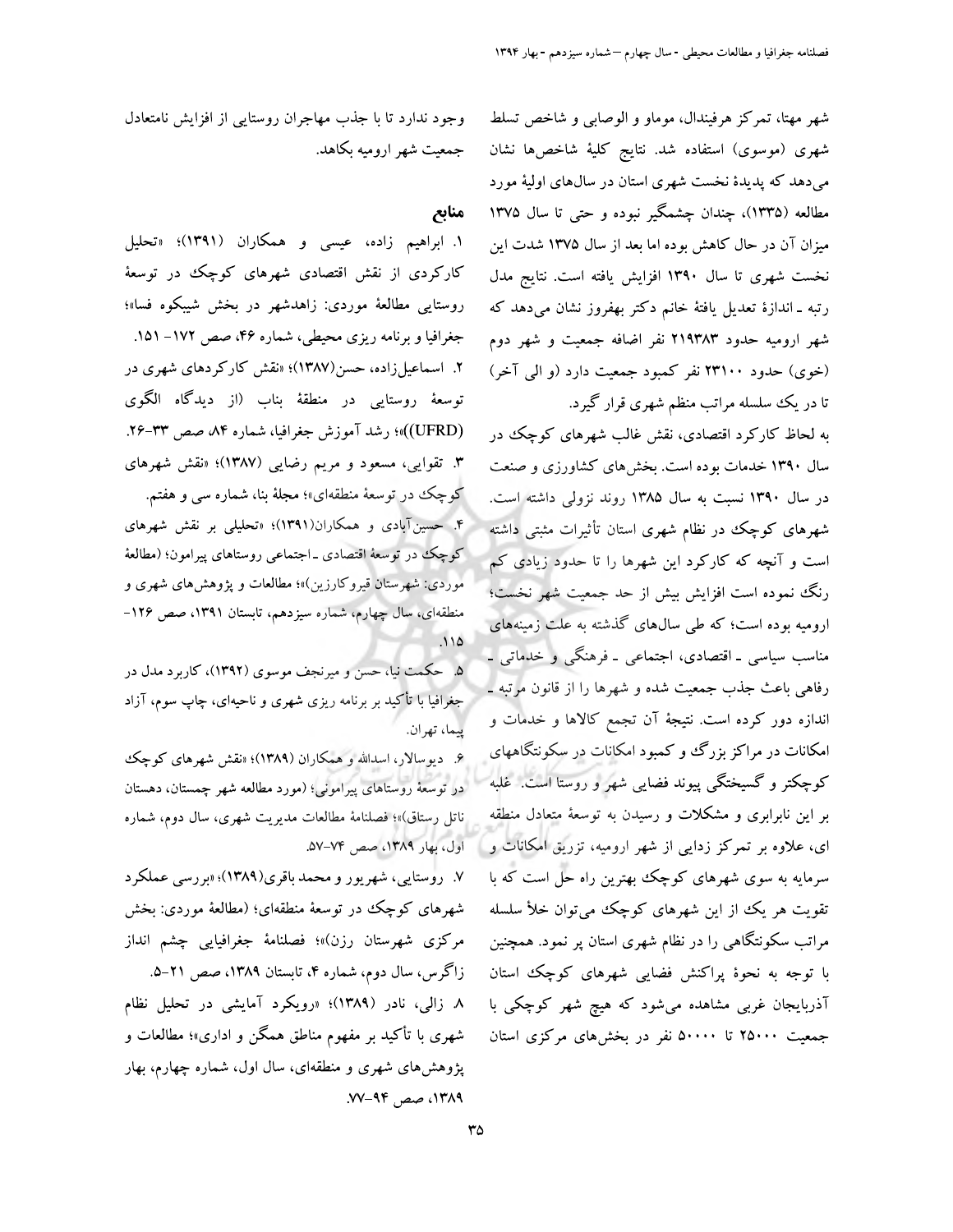شهر مهتا، تمرکز هرفیندال، موماو و الوصابی و شاخص تسلط شهری (موسوی) استفاده شد. نتایج کلیهٔ شاخصها نشان میدهد که پدیدهٔ نخست شهری استان در سال&ای اولیهٔ مورد مطالعه (۱۳۳۵)، چندان چشمگیر نبوده و حتی تا سال ۱۳۷۵ میزان آن در حال کاهش بوده اما بعد از سال ۱۳۷۵ شدت این نخست شهری تا سال ۱۳۹۰ افزایش یافته است. نتایج مدل رتبه ـ اندازهٔ تعدیل یافتهٔ خانم دکتر بهفروز نشان میدهد که شهر ارومیه حدود ۲۱۹۳۸۳ نفر اضافه جمعیت و شهر دوم (خوی) حدود ۲۳۱۰۰ نفر کمبود جمعیت دارد (و الی آخر) تا در یک سلسله مراتب منظم شهری قرار گیرد.

به لحاظ کارکرد اقتصادی، نقش غالب شهرهای کوچک در سال ۱۳۹۰ خدمات بوده است. بخشهای کشاورزی و صنعت در سال ۱۳۹۰ نسبت به سال ۱۳۸۵ روند نزولی داشته است. شهرهای کوچک در نظام شهری استان تأثیرات مثبتی داشته است و آنچه که کارکرد این شهرها را تا حدود زیادی کم رنگ نموده است افزایش بیش از حد جمعیت شهر نخست؛ ارومیه بوده است؛ که طی سالهای گذشته به علت زمینههای مناسب سیاسی ـ اقتصادی، اجتماعی ـ فرهنگی و خدماتی ـ رفاهي باعث جذب جمعيت شده و شهرها را از قانون مرتبه ـ اندازه دور کرده است. نتیجهٔ آن تجمع کالاها و خدمات و امکانات در مراکز بزرگ و کمبود امکانات در سکونتگاههای کوچکتر و گسیختگی پیوند فضایی شهر و روستا است. غلبه بر این نابرابری و مشکلات و رسیدن به توسعهٔ متعادل منطقه ای، علاوه بر تمرکز زدایی از شهر ارومیه، تزریق امکانات و آ سرمایه به سوی شهرهای کوچک بهترین راه حل است که با تقویت هر یک از این شهرهای کوچک می توان خلأ سلسله مراتب سکونتگاهی را در نظام شهری استان پر نمود. همچنین با توجه به نحوهٔ پراکنش فضایی شهرهای کوچک استان آذربایجان غربی مشاهده میشود که هیچ شهر کوچکی با جمعیت ۲۵۰۰۰ تا ۵۰۰۰۰ نفر در بخشهای مرکزی استان

وجود ندارد تا با جذب مهاجران روستایی از افزایش نامتعادل جمعیت شهر ارومیه بکاهد.

#### منابع

۱. ابراهیم زاده، عیسی و همکاران (۱۳۹۱)؛ «تحلیل کارکردی از نقش اقتصادی شهرهای کوچک در توسعهٔ روستایی مطالعهٔ موردی: زاهدشهر در بخش شیبکوه فسا»؛ جغرافیا و برنامه ریزی محیطی، شماره ۴۶، صص ۱۷۲– ۱۵۱. ۲. اسماعیلزاده، حسن(۱۳۸۷)؛ «نقش کارکردهای شهری در توسعهٔ روستایی در منطقهٔ بناب (از دیدگاه الگوی (UFRD))»؛ رشد آموزش جغرافیا، شماره ۸۴ صص ۳۳–۲۶. ۳. تقوایی، مسعود و مریم رضایی (۱۳۸۷)؛ «نقش شهرهای کوچک در توسعهٔ منطقهای»؛ مجلهٔ بنا، شماره سی و هفتم. ۴. حسینآبادی و همکاران(۱۳۹۱)؛ «تحلیلی بر نقش شهرهای کوچک در توسعهٔ اقتصادی ـ اجتماعی روستاهای پیرامون؛ (مطالعهٔ موردی: شهرستان قیروکارزین)»؛ مطالعات و پژوهشهای شهری و منطقهای، سال چهارم، شماره سیزدهم، تابستان ۱۳۹۱، صص ۱۲۶- $110$ 

۵. حکمت نیا، حسن و میرنجف موسوی (۱۳۹۲)، کاربرد مدل در جُغَرافیا با تأکید بر برنامه ریزی شهری و ناحیهای، چاپ سوم، آزاد يبما، تهران.

۶. دیوسالار، اسدالله و همکاران (۱۳۸۹)؛ «نقش شهرهای کوچک در توسعهٔ روستاهای پیرامونی؛ (مورد مطالعه شهر چمستان، دهستان ناتل رستاق)»؛ فصلنامهٔ مطالعات مدیریت شهری، سال دوم، شماره اول، بهار ١٣٨٩، صص ٧٤-٥٧.

۷. روستایی، شهریور و محمد باقری(۱۳۸۹)؛ «بررسی عملکرد شهرهای کوچک در توسعهٔ منطقهای؛ (مطالعهٔ موردی: بخش مركزى شهرستان رزن)»؛ فصلنامهٔ جغرافیایی چشم انداز

زاگرس، سال دوم، شماره ۴، تابستان ۱۳۸۹، صص ۲۱–۵. ۸ زالی، نادر (۱۳۸۹)؛ «رویکرد آمایشی در تحلیل نظام شهری با تأکید بر مفهوم مناطق همگن و اداری»؛ مطالعات و پژوهشهای شهری و منطقهای، سال اول، شماره چهارم، بهار ۰۱۳۸۹ صص ۹۴–۷۷.